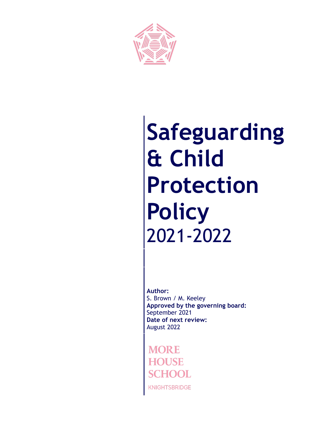

# **Safeguarding & Child Protection Policy** 2021-2022

**Author:** S. Brown / M. Keeley **Approved by the governing board:** September 2021 **Date of next review:** August 2022

**KNIGHTSBRIDGE**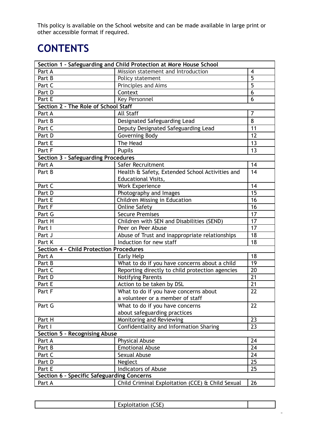This policy is available on the School website and can be made available in large print or other accessible format if required.

# **CONTENTS**

| Section 1 - Safeguarding and Child Protection at More House School |                                                      |                |
|--------------------------------------------------------------------|------------------------------------------------------|----------------|
| Part A                                                             | Mission statement and Introduction                   | $\overline{4}$ |
| Part B                                                             | Policy statement                                     | $\overline{5}$ |
| Part C                                                             | Principles and Aims                                  | $\overline{5}$ |
| Part D                                                             | Context                                              | 6              |
| <b>Key Personnel</b><br>Part E                                     |                                                      | 6              |
| Section 2 - The Role of School Staff                               |                                                      |                |
| Part A                                                             | <b>All Staff</b>                                     | $\overline{7}$ |
| Part B                                                             | Designated Safeguarding Lead                         | 8              |
| Part C                                                             | Deputy Designated Safeguarding Lead                  | 11             |
| Part D                                                             | Governing Body                                       | 12             |
| Part E                                                             | The Head                                             | 13             |
| Part F                                                             | <b>Pupils</b>                                        |                |
| <b>Section 3 - Safeguarding Procedures</b>                         |                                                      |                |
| Part A                                                             | Safer Recruitment                                    | 14             |
| Part B                                                             | Health & Safety, Extended School Activities and      | 14             |
|                                                                    | <b>Educational Visits,</b>                           |                |
| Part C                                                             | <b>Work Experience</b>                               | 14             |
| Part D                                                             | Photography and Images                               | 15             |
| Part E                                                             | Children Missing in Education                        | 16             |
| Part F                                                             | <b>Online Safety</b>                                 | 16             |
| Part G                                                             | <b>Secure Premises</b>                               | 17             |
| Part H                                                             | Children with SEN and Disabilities (SEND)            | 17             |
| Part I                                                             | Peer on Peer Abuse                                   |                |
| Part J                                                             | Abuse of Trust and inappropriate relationships<br>18 |                |
| Induction for new staff<br>Part K                                  |                                                      | 18             |
| <b>Section 4 - Child Protection Procedures</b>                     |                                                      |                |
| Part A                                                             | 18<br>Early Help                                     |                |
| Part B                                                             | What to do if you have concerns about a child<br>19  |                |
| Part C                                                             | Reporting directly to child protection agencies      | 20             |
| Part D                                                             | <b>Notifying Parents</b>                             | 21             |
| Part E                                                             | Action to be taken by DSL                            | 21             |
| Part F                                                             | What to do if you have concerns about                | 22             |
|                                                                    | a volunteer or a member of staff                     |                |
| Part G                                                             | What to do if you have concerns                      | 22             |
|                                                                    | about safeguarding practices                         |                |
| Part H                                                             | Monitoring and Reviewing                             | 23             |
| Part I                                                             | Confidentiality and Information Sharing              | 23             |
| <b>Section 5 - Recognising Abuse</b>                               |                                                      |                |
| Part A                                                             | Physical Abuse                                       | 24             |
| Part B                                                             | <b>Emotional Abuse</b>                               | 24             |
| Part C                                                             | <b>Sexual Abuse</b>                                  | 24             |
| Part D                                                             | Neglect                                              | 25             |
| Part E                                                             | <b>Indicators of Abuse</b>                           | 25             |
| Section 6 - Specific Safeguarding Concerns                         |                                                      |                |
| Part A                                                             | Child Criminal Exploitation (CCE) & Child Sexual     | 26             |

| Exploitation (CSE) |  |
|--------------------|--|
|                    |  |

2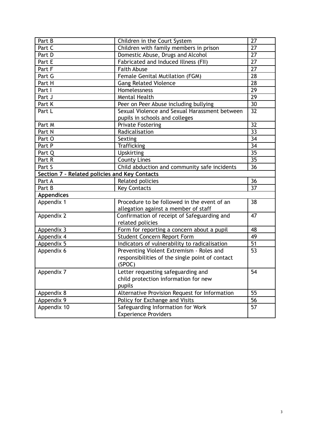| Part B                                        | Children in the Court System                                                              |                 |
|-----------------------------------------------|-------------------------------------------------------------------------------------------|-----------------|
| Part C                                        | Children with family members in prison                                                    | 27              |
| Part D                                        | Domestic Abuse, Drugs and Alcohol                                                         |                 |
| Part E                                        | Fabricated and Induced Illness (FII)                                                      |                 |
| <b>Faith Abuse</b><br>Part F                  |                                                                                           | 27              |
| Part G                                        | Female Genital Mutilation (FGM)                                                           |                 |
| Part H                                        | <b>Gang Related Violence</b>                                                              | $\overline{28}$ |
| Part I                                        | Homelessness                                                                              | 29              |
| Part J                                        | <b>Mental Health</b>                                                                      |                 |
| Part K                                        | Peer on Peer Abuse including bullying                                                     | 30              |
| Part L                                        | Sexual Violence and Sexual Harassment between                                             | 32              |
|                                               | pupils in schools and colleges                                                            |                 |
| Part M                                        | <b>Private Fostering</b>                                                                  | 32              |
| Part N                                        | Radicalisation                                                                            | 33              |
| Part O                                        | Sexting                                                                                   | 34              |
| Part P                                        | <b>Trafficking</b>                                                                        | 34              |
| Part Q                                        | Upskirting                                                                                | 35              |
| Part R                                        | <b>County Lines</b>                                                                       | 35              |
| Part S                                        | Child abduction and community safe incidents                                              | 36              |
| Section 7 - Related policies and Key Contacts |                                                                                           |                 |
|                                               |                                                                                           |                 |
| Part A                                        | Related policies                                                                          | 36              |
| Part B                                        | <b>Key Contacts</b>                                                                       | 37              |
| <b>Appendices</b>                             |                                                                                           |                 |
| Appendix 1                                    | Procedure to be followed in the event of an                                               | 38              |
|                                               | allegation against a member of staff                                                      |                 |
| Appendix 2                                    | Confirmation of receipt of Safeguarding and                                               | 47              |
|                                               | related policies                                                                          |                 |
| Appendix 3                                    | Form for reporting a concern about a pupil                                                | 48              |
| Appendix 4                                    | Student Concern Report Form                                                               | 49              |
| Appendix 5                                    |                                                                                           | 51              |
| Appendix 6                                    | Indicators of vulnerability to radicalisation<br>Preventing Violent Extremism - Roles and | 53              |
|                                               | responsibilities of the single point of contact                                           |                 |
|                                               | (SPOC)                                                                                    |                 |
|                                               | Letter requesting safeguarding and                                                        | 54              |
| Appendix 7                                    | child protection information for new                                                      |                 |
|                                               | pupils                                                                                    |                 |
|                                               |                                                                                           | 55              |
| Appendix 8                                    | Alternative Provision Request for Information                                             | 56              |
| Appendix 9<br>Appendix 10                     | Policy for Exchange and Visits<br>Safeguarding Information for Work                       | 57              |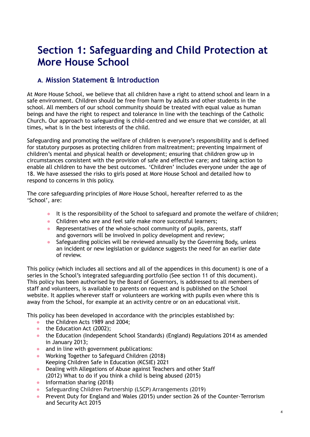# **Section 1: Safeguarding and Child Protection at More House School**

# **A. Mission Statement & Introduction**

At More House School, we believe that all children have a right to attend school and learn in a safe environment. Children should be free from harm by adults and other students in the school. All members of our school community should be treated with equal value as human beings and have the right to respect and tolerance in line with the teachings of the Catholic Church**.** Our approach to safeguarding is child-centred and we ensure that we consider, at all times, what is in the best interests of the child.

Safeguarding and promoting the welfare of children is everyone's responsibility and is defined for statutory purposes as protecting children from maltreatment; preventing impairment of children's mental and physical health or development; ensuring that children grow up in circumstances consistent with the provision of safe and effective care; and taking action to enable all children to have the best outcomes. 'Children' includes everyone under the age of 18. We have assessed the risks to girls posed at More House School and detailed how to respond to concerns in this policy.

The core safeguarding principles of More House School, hereafter referred to as the 'School', are:

- It is the responsibility of the School to safeguard and promote the welfare of children;
- Children who are and feel safe make more successful learners;
- Representatives of the whole-school community of pupils, parents, staff and governors will be involved in policy development and review;
- Safeguarding policies will be reviewed annually by the Governing Body, unless an incident or new legislation or guidance suggests the need for an earlier date of review.

This policy (which includes all sections and all of the appendices in this document) is one of a series in the School's integrated safeguarding portfolio (See section 11 of this document). This policy has been authorised by the Board of Governors, is addressed to all members of staff and volunteers, is available to parents on request and is published on the School website. It applies wherever staff or volunteers are working with pupils even where this is away from the School, for example at an activity centre or on an educational visit.

This policy has been developed in accordance with the principles established by:

- the Children Acts 1989 and 2004:
- the Education Act (2002);
- the Education (Independent School Standards) (England) Regulations 2014 as amended in January 2013;
- and in line with government publications:
- Working Together to Safeguard Children (2018) Keeping Children Safe in Education (KCSIE) 2021
- Dealing with Allegations of Abuse against Teachers and other Staff (2012) What to do if you think a child is being abused (2015)
- Information sharing (2018)
- Safeguarding Children Partnership (LSCP) Arrangements (2019)
- Prevent Duty for England and Wales (2015) under section 26 of the Counter-Terrorism and Security Act 2015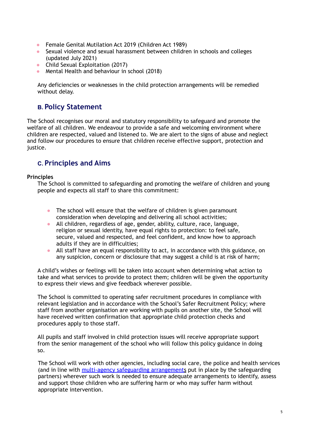- Female Genital Mutilation Act 2019 (Children Act 1989)
- Sexual violence and sexual harassment between children in schools and colleges (updated July 2021)
- Child Sexual Exploitation (2017)
- Mental Health and behaviour in school (2018)

Any deficiencies or weaknesses in the child protection arrangements will be remedied without delay.

# **B. Policy Statement**

The School recognises our moral and statutory responsibility to safeguard and promote the welfare of all children. We endeavour to provide a safe and welcoming environment where children are respected, valued and listened to. We are alert to the signs of abuse and neglect and follow our procedures to ensure that children receive effective support, protection and justice.

# **C. Principles and Aims**

### **Principles**

The School is committed to safeguarding and promoting the welfare of children and young people and expects all staff to share this commitment:

- The school will ensure that the welfare of children is given paramount consideration when developing and delivering all school activities;
- All children, regardless of age, gender, ability, culture, race, language, religion or sexual identity, have equal rights to protection: to feel safe, secure, valued and respected, and feel confident, and know how to approach adults if they are in difficulties;
- All staff have an equal responsibility to act, in accordance with this guidance, on any suspicion, concern or disclosure that may suggest a child is at risk of harm;

A child's wishes or feelings will be taken into account when determining what action to take and what services to provide to protect them; children will be given the opportunity to express their views and give feedback wherever possible.

The School is committed to operating safer recruitment procedures in compliance with relevant legislation and in accordance with the School's Safer Recruitment Policy; where staff from another organisation are working with pupils on another site, the School will have received written confirmation that appropriate child protection checks and procedures apply to those staff.

All pupils and staff involved in child protection issues will receive appropriate support from the senior management of the school who will follow this policy guidance in doing so.

The School will work with other agencies, including social care, the police and health services (and in line with multi-agency safeguarding [arrangements](https://www.rbkc.gov.uk/lscp/about-us/protocols-and-procedures) put in place by the safeguarding partners) wherever such work is needed to ensure adequate arrangements to identify, assess and support those children who are suffering harm or who may suffer harm without appropriate intervention.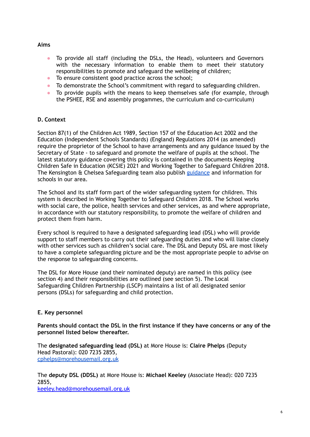#### **Aims**

- To provide all staff (including the DSLs, the Head), volunteers and Governors with the necessary information to enable them to meet their statutory responsibilities to promote and safeguard the wellbeing of children;
- To ensure consistent good practice across the school;
- To demonstrate the School's commitment with regard to safeguarding children.
- To provide pupils with the means to keep themselves safe (for example, through the PSHEE, RSE and assembly progammes, the curriculum and co-curriculum)

# **D. Context**

Section 87(1) of the Children Act 1989, Section 157 of the Education Act 2002 and the Education (Independent Schools Standards) (England) Regulations 2014 (as amended) require the proprietor of the School to have arrangements and any guidance issued by the Secretary of State - to safeguard and promote the welfare of pupils at the school. The latest statutory guidance covering this policy is contained in the documents Keeping Children Safe in Education (KCSIE) 2021 and Working Together to Safeguard Children 2018. The Kensington & Chelsea Safeguarding team also publish [guidance](https://www.rbkc.gov.uk/lscp/about-us/protocols-and-procedures) and information for schools in our area.

The School and its staff form part of the wider safeguarding system for children. This system is described in Working Together to Safeguard Children 2018. The School works with social care, the police, health services and other services, as and where appropriate, in accordance with our statutory responsibility, to promote the welfare of children and protect them from harm.

Every school is required to have a designated safeguarding lead (DSL) who will provide support to staff members to carry out their safeguarding duties and who will liaise closely with other services such as children's social care. The DSL and Deputy DSL are most likely to have a complete safeguarding picture and be the most appropriate people to advise on the response to safeguarding concerns.

The DSL for More House (and their nominated deputy) are named in this policy (see section 4) and their responsibilities are outlined (see section 5). The Local Safeguarding Children Partnership (LSCP) maintains a list of all designated senior persons (DSLs) for safeguarding and child protection.

# **E. Key personnel**

**Parents should contact the DSL in the first instance if they have concerns or any of the personnel listed below thereafter.**

The **designated safeguarding lead (DSL)** at More House is: **Claire Phelps** (Deputy Head Pastoral): 020 7235 2855, [cphelps@morehousemail.org.uk](mailto:cphelps@morehousemail.org.uk)

The **deputy DSL (DDSL)** at More House is: **Michael Keeley** (Associate Head): 020 7235 2855,

[keeley.head@morehousemail.org.uk](mailto:keeley.head@morehousemail.org.uk)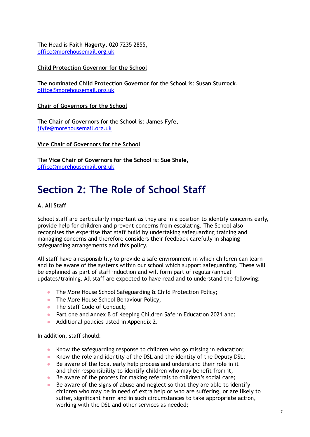The Head is **Faith Hagerty**, 020 7235 2855, [office@morehousemail.org.uk](mailto:office@morehousemail.org.uk)

#### **Child Protection Governor for the School**

The **nominated Child Protection Governor** for the School is: **Susan Sturrock**, [office@morehousemail.org.uk](mailto:office@morehousemail.org.uk)

**Chair of Governors for the School**

The **Chair of Governors** for the School is: **James Fyfe**, [jfyfe@morehousemail.org.uk](mailto:office@morehousemail.org.uk)

#### **Vice Chair of Governors for the School**

The **Vice Chair of Governors for the School** is: **Sue Shale**, [office@morehousemail.org.uk](mailto:office@morehousemail.org.uk)

# **Section 2: The Role of School Staff**

#### **A. All Staff**

School staff are particularly important as they are in a position to identify concerns early, provide help for children and prevent concerns from escalating. The School also recognises the expertise that staff build by undertaking safeguarding training and managing concerns and therefore considers their feedback carefully in shaping safeguarding arrangements and this policy.

All staff have a responsibility to provide a safe environment in which children can learn and to be aware of the systems within our school which support safeguarding. These will be explained as part of staff induction and will form part of regular/annual updates/training. All staff are expected to have read and to understand the following:

- The More House School Safeguarding & Child Protection Policy;
- The More House School Behaviour Policy;
- The Staff Code of Conduct;
- Part one and Annex B of Keeping Children Safe in Education 2021 and;
- Additional policies listed in Appendix 2.

In addition, staff should:

- Know the safeguarding response to children who go missing in education;
- Know the role and identity of the DSL and the identity of the Deputy DSL;
- Be aware of the local early help process and understand their role in it and their responsibility to identify children who may benefit from it;
- Be aware of the process for making referrals to children's social care;
- Be aware of the signs of abuse and neglect so that they are able to identify children who may be in need of extra help or who are suffering, or are likely to suffer, significant harm and in such circumstances to take appropriate action, working with the DSL and other services as needed;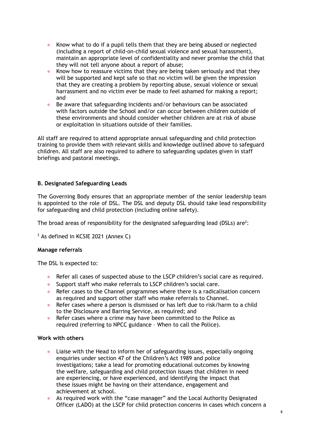- Know what to do if a pupil tells them that they are being abused or neglected (including a report of child-on-child sexual violence and sexual harassment), maintain an appropriate level of confidentiality and never promise the child that they will not tell anyone about a report of abuse;
- Know how to reassure victims that they are being taken seriously and that they will be supported and kept safe so that no victim will be given the impression that they are creating a problem by reporting abuse, sexual violence or sexual harrassment and no victim ever be made to feel ashamed for making a report; and
- Be aware that safeguarding incidents and/or behaviours can be associated with factors outside the School and/or can occur between children outside of these environments and should consider whether children are at risk of abuse or exploitation in situations outside of their families.

All staff are required to attend appropriate annual safeguarding and child protection training to provide them with relevant skills and knowledge outlined above to safeguard children. All staff are also required to adhere to safeguarding updates given in staff briefings and pastoral meetings.

### **B. Designated Safeguarding Leads**

The Governing Body ensures that an appropriate member of the senior leadership team is appointed to the role of DSL. The DSL and deputy DSL should take lead responsibility for safeguarding and child protection (including online safety).

The broad areas of responsibility for the designated safeguarding lead (DSLs) are<sup>2</sup>:

 $2$  As defined in KCSIE 2021 (Annex C)

#### **Manage referrals**

The DSL is expected to:

- Refer all cases of suspected abuse to the LSCP children's social care as required.
- Support staff who make referrals to LSCP children's social care.
- Refer cases to the Channel programmes where there is a radicalisation concern as required and support other staff who make referrals to Channel.
- Refer cases where a person is dismissed or has left due to risk/harm to a child to the Disclosure and Barring Service, as required; and
- Refer cases where a crime may have been committed to the Police as required (referring to NPCC guidance – When to call the Police).

#### **Work with others**

- Liaise with the Head to inform her of safeguarding issues, especially ongoing enquiries under section 47 of the Children's Act 1989 and police investigations; take a lead for promoting educational outcomes by knowing the welfare, safeguarding and child protection issues that children in need are experiencing, or have experienced, and identifying the impact that these issues might be having on their attendance, engagement and achievement at school.
- As required work with the "case manager" and the Local Authority Designated Officer (LADO) at the LSCP for child protection concerns in cases which concern a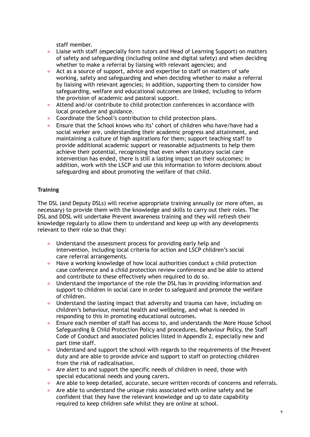staff member.

- Liaise with staff (especially form tutors and Head of Learning Support) on matters of safety and safeguarding (including online and digital safety) and when deciding whether to make a referral by liaising with relevant agencies; and
- Act as a source of support, advice and expertise to staff on matters of safe working, safety and safeguarding and when deciding whether to make a referral by liaising with relevant agencies; in addition, supporting them to consider how safeguarding, welfare and educational outcomes are linked, including to inform the provision of academic and pastoral support.
- Attend and/or contribute to child protection conferences in accordance with local procedure and guidance.
- Coordinate the School's contribution to child protection plans.
- Ensure that the School knows who its' cohort of children who have/have had a social worker are, understanding their academic progress and attainment, and maintaining a culture of high aspirations for them; support teaching staff to provide additional academic support or reasonable adjustments to help them achieve their potential, recognising that even when statutory social care intervention has ended, there is still a lasting impact on their outcomes; in addition, work with the LSCP and use this information to inform decisions about safeguarding and about promoting the welfare of that child.

# **Training**

The DSL (and Deputy DSLs) will receive appropriate training annually (or more often, as necessary) to provide them with the knowledge and skills to carry out their roles. The DSL and DDSL will undertake Prevent awareness training and they will refresh their knowledge regularly to allow them to understand and keep up with any developments relevant to their role so that they:

- Understand the assessment process for providing early help and intervention, including local criteria for action and LSCP children's social care referral arrangements.
- Have a working knowledge of how local authorities conduct a child protection case conference and a child protection review conference and be able to attend and contribute to these effectively when required to do so.
- Understand the importance of the role the DSL has in providing information and support to children in social care in order to safeguard and promote the welfare of children.
- Understand the lasting impact that adversity and trauma can have, including on children's behaviour, mental health and wellbeing, and what is needed in responding to this in promoting educational outcomes.
- Ensure each member of staff has access to, and understands the More House School Safeguarding & Child Protection Policy and procedures, Behaviour Policy, the Staff Code of Conduct and associated policies listed in Appendix 2, especially new and part time staff.
- Understand and support the school with regards to the requirements of the Prevent duty and are able to provide advice and support to staff on protecting children from the risk of radicalisation.
- **●** Are alert to and support the specific needs of children in need, those with special educational needs and young carers**.**
- Are able to keep detailed, accurate, secure written records of concerns and referrals.
- Are able to understand the unique risks associated with online safety and be confident that they have the relevant knowledge and up to date capability required to keep children safe whilst they are online at school.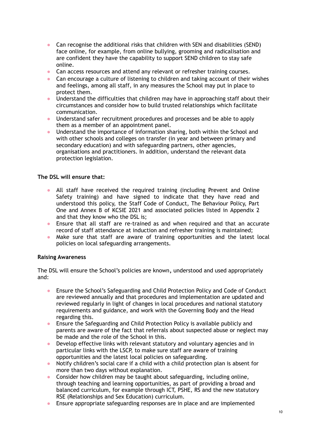- Can recognise the additional risks that children with SEN and disabilities (SEND) face online, for example, from online bullying, grooming and radicalisation and are confident they have the capability to support SEND children to stay safe online.
- Can access resources and attend any relevant or refresher training courses.
- Can encourage a culture of listening to children and taking account of their wishes and feelings, among all staff, in any measures the School may put in place to protect them.
- Understand the difficulties that children may have in approaching staff about their circumstances and consider how to build trusted relationships which facilitate communication.
- Understand safer recruitment procedures and processes and be able to apply them as a member of an appointment panel.
- Understand the importance of information sharing, both within the School and with other schools and colleges on transfer (in year and between primary and secondary education) and with safeguarding partners, other agencies, organisations and practitioners. In addition, understand the relevant data protection legislation.

#### **The DSL will ensure that:**

- All staff have received the required training (including Prevent and Online Safety training) and have signed to indicate that they have read and understood this policy, the Staff Code of Conduct, The Behaviour Policy, Part One and Annex B of KCSIE 2021 and associated policies listed in Appendix 2 and that they know who the DSL is;
- Ensure that all staff are re-trained as and when required and that an accurate record of staff attendance at induction and refresher training is maintained;
- Make sure that staff are aware of training opportunities and the latest local policies on local safeguarding arrangements.

#### **Raising Awareness**

The DSL will ensure the School's policies are known**,** understood and used appropriately and:

- Ensure the School's Safeguarding and Child Protection Policy and Code of Conduct are reviewed annually and that procedures and implementation are updated and reviewed regularly in light of changes in local procedures and national statutory requirements and guidance, and work with the Governing Body and the Head regarding this.
- Ensure the Safeguarding and Child Protection Policy is available publicly and parents are aware of the fact that referrals about suspected abuse or neglect may be made and the role of the School in this.
- Develop effective links with relevant statutory and voluntary agencies and in particular links with the LSCP, to make sure staff are aware of training opportunities and the latest local policies on safeguarding.
- Notify children's social care if a child with a child protection plan is absent for more than two days without explanation.
- Consider how children may be taught about safeguarding, including online, through teaching and learning opportunities, as part of providing a broad and balanced curriculum, for example through ICT, PSHE, RS and the new statutory RSE (Relationships and Sex Education) curriculum.
- Ensure appropriate safeguarding responses are in place and are implemented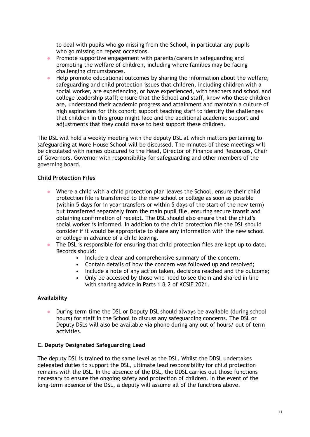to deal with pupils who go missing from the School, in particular any pupils who go missing on repeat occasions.

- Promote supportive engagement with parents/carers in safeguarding and promoting the welfare of children, including where families may be facing challenging circumstances.
- Help promote educational outcomes by sharing the information about the welfare, safeguarding and child protection issues that children, including children with a social worker, are experiencing, or have experienced, with teachers and school and college leadership staff; ensure that the School and staff, know who these children are, understand their academic progress and attainment and maintain a culture of high aspirations for this cohort; support teaching staff to identify the challenges that children in this group might face and the additional academic support and adjustments that they could make to best support these children.

The DSL will hold a weekly meeting with the deputy DSL at which matters pertaining to safeguarding at More House School will be discussed. The minutes of these meetings will be circulated with names obscured to the Head, Director of Finance and Resources, Chair of Governors, Governor with responsibility for safeguarding and other members of the governing board.

#### **Child Protection Files**

- Where a child with a child protection plan leaves the School, ensure their child protection file is transferred to the new school or college as soon as possible (within 5 days for in year transfers or within 5 days of the start of the new term) but transferred separately from the main pupil file, ensuring secure transit and obtaining confirmation of receipt. The DSL should also ensure that the child's social worker is informed. In addition to the child protection file the DSL should consider if it would be appropriate to share any information with the new school or college in advance of a child leaving.
- The DSL is responsible for ensuring that child protection files are kept up to date. Records should:
	- Include a clear and comprehensive summary of the concern;
	- Contain details of how the concern was followed up and resolved;
	- Include a note of any action taken, decisions reached and the outcome;
	- Only be accessed by those who need to see them and shared in line with sharing advice in Parts 1 & 2 of KCSIE 2021.

#### **Availability**

● During term time the DSL or Deputy DSL should always be available (during school hours) for staff in the School to discuss any safeguarding concerns. The DSL or Deputy DSLs will also be available via phone during any out of hours/ out of term activities.

#### **C. Deputy Designated Safeguarding Lead**

The deputy DSL is trained to the same level as the DSL. Whilst the DDSL undertakes delegated duties to support the DSL, ultimate lead responsibility for child protection remains with the DSL. In the absence of the DSL, the DDSL carries out those functions necessary to ensure the ongoing safety and protection of children. In the event of the long-term absence of the DSL, a deputy will assume all of the functions above.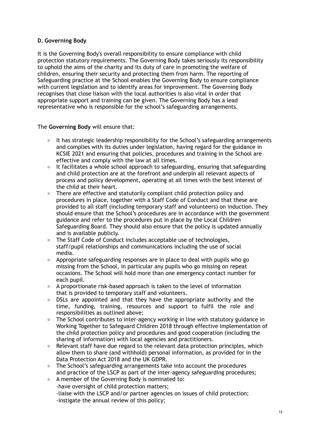# **D. Governing Body**

It is the Governing Body's overall responsibility to ensure compliance with child protection statutory requirements. The Governing Body takes seriously its responsibility to uphold the aims of the charity and its duty of care in promoting the welfare of children, ensuring their security and protecting them from harm. The reporting of Safeguarding practice at the School enables the Governing Body to ensure compliance with current legislation and to identify areas for improvement. The Governing Body recognises that close liaison with the local authorities is also vital in order that appropriate support and training can be given. The Governing Body has a lead representative who is responsible for the school's safeguarding arrangements.

The **Governing Body** will ensure that:

- It has strategic leadership responsibility for the School's safeguarding arrangements and complies with its duties under legislation, having regard for the guidance in KCSIE 2021 and ensuring that policies, procedures and training in the School are effective and comply with the law at all times.
- It facilitates a whole school approach to safeguarding, ensuring that safeguarding and child protection are at the forefront and underpin all relevant aspects of process and policy development, operating at all times with the best interest of the child at their heart.
- There are effective and statutorily compliant child protection policy and procedures in place, together with a Staff Code of Conduct and that these are provided to all staff (including temporary staff and volunteers) on induction. They should ensure that the School's procedures are in accordance with the government guidance and refer to the procedures put in place by the Local Children Safeguarding Board. They should also ensure that the policy is updated annually and is available publicly.
- The Staff Code of Conduct includes acceptable use of technologies, staff/pupil relationships and communications including the use of social media.
- Appropriate safeguarding responses are in place to deal with pupils who go missing from the School, in particular any pupils who go missing on repeat occasions. The School will hold more than one emergency contact number for each pupil.
- A proportionate risk-based approach is taken to the level of information that is provided to temporary staff and volunteers.
- DSLs are appointed and that they have the appropriate authority and the time, funding, training, resources and support to fulfil the role and responsibilities as outlined above;
- The School contributes to inter-agency working in line with statutory guidance in Working Together to Safeguard Children 2018 through effective implementation of the child protection policy and procedures and good cooperation (including the sharing of information) with local agencies and practitioners.
- Relevant staff have due regard to the relevant data protection principles, which allow them to share (and withhold) personal information, as provided for in the Data Protection Act 2018 and the UK GDPR.
- The School's safeguarding arrangements take into account the procedures and practice of the LSCP as part of the inter-agency safeguarding procedures;
- A member of the Governing Body is nominated to:
	- -have oversight of child protection matters;
	- -liaise with the LSCP and/or partner agencies on issues of child protection; -instigate the annual review of this policy;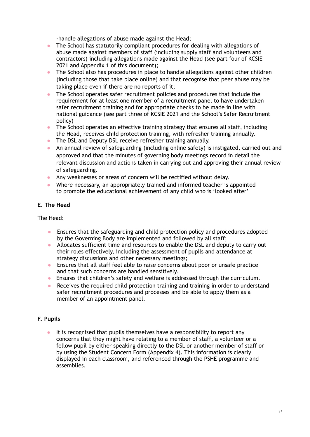-handle allegations of abuse made against the Head;

- The School has statutorily compliant procedures for dealing with allegations of abuse made against members of staff (including supply staff and volunteers and contractors) including allegations made against the Head (see part four of KCSIE 2021 and Appendix 1 of this document);
- The School also has procedures in place to handle allegations against other children (including those that take place online) and that recognise that peer abuse may be taking place even if there are no reports of it;
- The School operates safer recruitment policies and procedures that include the requirement for at least one member of a recruitment panel to have undertaken safer recruitment training and for appropriate checks to be made in line with national guidance (see part three of KCSIE 2021 and the School's Safer Recruitment policy)
- The School operates an effective training strategy that ensures all staff, including the Head, receives child protection training, with refresher training annually.
- The DSL and Deputy DSL receive refresher training annually.
- An annual review of safeguarding (including online safety) is instigated, carried out and approved and that the minutes of governing body meetings record in detail the relevant discussion and actions taken in carrying out and approving their annual review of safeguarding.
- Any weaknesses or areas of concern will be rectified without delay.
- Where necessary, an appropriately trained and informed teacher is appointed to promote the educational achievement of any child who is 'looked after'

# **E. The Head**

The Head:

- Ensures that the safeguarding and child protection policy and procedures adopted by the Governing Body are implemented and followed by all staff;
- Allocates sufficient time and resources to enable the DSL and deputy to carry out their roles effectively, including the assessment of pupils and attendance at strategy discussions and other necessary meetings;
- Ensures that all staff feel able to raise concerns about poor or unsafe practice and that such concerns are handled sensitively.
- Ensures that children's safety and welfare is addressed through the curriculum.
- Receives the required child protection training and training in order to understand safer recruitment procedures and processes and be able to apply them as a member of an appointment panel.

# **F. Pupils**

● It is recognised that pupils themselves have a responsibility to report any concerns that they might have relating to a member of staff, a volunteer or a fellow pupil by either speaking directly to the DSL or another member of staff or by using the Student Concern Form (Appendix 4). This information is clearly displayed in each classroom, and referenced through the PSHE programme and assemblies.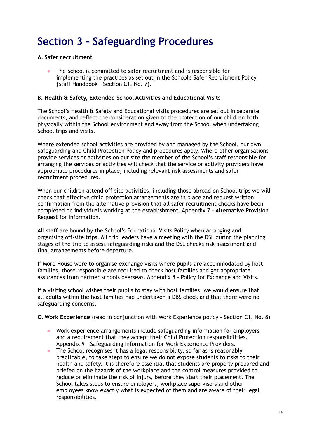# **Section 3 – Safeguarding Procedures**

#### **A. Safer recruitment**

● The School is committed to safer recruitment and is responsible for implementing the practices as set out in the School's Safer Recruitment Policy (Staff Handbook – Section C1, No. 7).

#### **B. Health & Safety, Extended School Activities and Educational Visits**

The School's Health & Safety and Educational visits procedures are set out in separate documents, and reflect the consideration given to the protection of our children both physically within the School environment and away from the School when undertaking School trips and visits.

Where extended school activities are provided by and managed by the School, our own Safeguarding and Child Protection Policy and procedures apply. Where other organisations provide services or activities on our site the member of the School's staff responsible for arranging the services or activities will check that the service or activity providers have appropriate procedures in place, including relevant risk assessments and safer recruitment procedures.

When our children attend off-site activities, including those abroad on School trips we will check that effective child protection arrangements are in place and request written confirmation from the alternative provision that all safer recruitment checks have been completed on individuals working at the establishment. Appendix 7 - Alternative Provision Request for Information.

All staff are bound by the School's Educational Visits Policy when arranging and organising off-site trips. All trip leaders have a meeting with the DSL during the planning stages of the trip to assess safeguarding risks and the DSL checks risk assessment and final arrangements before departure.

If More House were to organise exchange visits where pupils are accommodated by host families, those responsible are required to check host families and get appropriate assurances from partner schools overseas. Appendix 8 – Policy for Exchange and Visits.

If a visiting school wishes their pupils to stay with host families, we would ensure that all adults within the host families had undertaken a DBS check and that there were no safeguarding concerns.

**C. Work Experience** (read in conjunction with Work Experience policy – Section C1, No. 8)

- Work experience arrangements include safeguarding information for employers and a requirement that they accept their Child Protection responsibilities. Appendix 9 – Safeguarding Information for Work Experience Providers.
- The School recognises it has a legal responsibility, so far as is reasonably practicable, to take steps to ensure we do not expose students to risks to their health and safety. It is therefore essential that students are properly prepared and briefed on the hazards of the workplace and the control measures provided to reduce or eliminate the risk of injury, before they start their placement. The School takes steps to ensure employers, workplace supervisors and other employees know exactly what is expected of them and are aware of their legal responsibilities.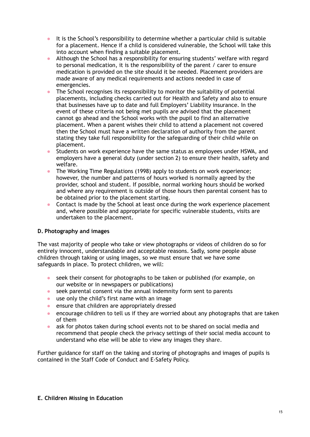- It is the School's responsibility to determine whether a particular child is suitable for a placement. Hence if a child is considered vulnerable, the School will take this into account when finding a suitable placement.
- Although the School has a responsibility for ensuring students' welfare with regard to personal medication, it is the responsibility of the parent / carer to ensure medication is provided on the site should it be needed. Placement providers are made aware of any medical requirements and actions needed in case of emergencies.
- The School recognises its responsibility to monitor the suitability of potential placements, including checks carried out for Health and Safety and also to ensure that businesses have up to date and full Employers' Liability insurance. In the event of these criteria not being met pupils are advised that the placement cannot go ahead and the School works with the pupil to find an alternative placement. When a parent wishes their child to attend a placement not covered then the School must have a written declaration of authority from the parent stating they take full responsibility for the safeguarding of their child while on placement.
- Students on work experience have the same status as employees under HSWA, and employers have a general duty (under section 2) to ensure their health, safety and welfare.
- The Working Time Regulations (1998) apply to students on work experience; however, the number and patterns of hours worked is normally agreed by the provider, school and student. If possible, normal working hours should be worked and where any requirement is outside of those hours then parental consent has to be obtained prior to the placement starting.
- Contact is made by the School at least once during the work experience placement and, where possible and appropriate for specific vulnerable students, visits are undertaken to the placement.

# **D. Photography and images**

The vast majority of people who take or view photographs or videos of children do so for entirely innocent, understandable and acceptable reasons. Sadly, some people abuse children through taking or using images, so we must ensure that we have some safeguards in place. To protect children, we will:

- seek their consent for photographs to be taken or published (for example, on our website or in newspapers or publications)
- seek parental consent via the annual indemnity form sent to parents
- use only the child's first name with an image
- ensure that children are appropriately dressed
- encourage children to tell us if they are worried about any photographs that are taken of them
- ask for photos taken during school events not to be shared on social media and recommend that people check the privacy settings of their social media account to understand who else will be able to view any images they share.

Further guidance for staff on the taking and storing of photographs and images of pupils is contained in the Staff Code of Conduct and E-Safety Policy.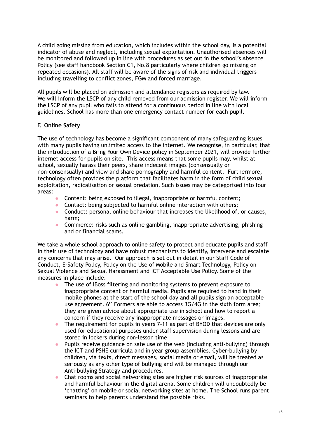A child going missing from education, which includes within the school day, is a potential indicator of abuse and neglect, including sexual exploitation. Unauthorised absences will be monitored and followed up in line with procedures as set out in the school's Absence Policy (see staff handbook Section C1, No.8 particularly where children go missing on repeated occasions). All staff will be aware of the signs of risk and individual triggers including travelling to conflict zones, FGM and forced marriage.

All pupils will be placed on admission and attendance registers as required by law. We will inform the LSCP of any child removed from our admission register. We will inform the LSCP of any pupil who fails to attend for a continuous period in line with local guidelines. School has more than one emergency contact number for each pupil.

### F. **Online Safety**

The use of technology has become a significant component of many safeguarding issues with many pupils having unlimited access to the internet. We recognise, in particular, that the introduction of a Bring Your Own Device policy in September 2021, will provide further internet access for pupils on site. This access means that some pupils may, whilst at school, sexually harass their peers, share indecent images (consensually or non-consensually) and view and share pornography and harmful content. Furthermore, technology often provides the platform that facilitates harm in the form of child sexual exploitation, radicalisation or sexual predation. Such issues may be categorised into four areas:

- Content: being exposed to illegal, inappropriate or harmful content;
- Contact: being subjected to harmful online interaction with others;
- Conduct: personal online behaviour that increases the likelihood of, or causes, harm;
- Commerce: risks such as online gambling, inappropriate advertising, phishing and or financial scams.

We take a whole school approach to online safety to protect and educate pupils and staff in their use of technology and have robust mechanisms to identify, intervene and escalate any concerns that may arise. Our approach is set out in detail in our Staff Code of Conduct, E-Safety Policy, Policy on the Use of Mobile and Smart Technology, Policy on Sexual Violence and Sexual Harassment and ICT Acceptable Use Policy. Some of the measures in place include:

- The use of IBoss filtering and monitoring systems to prevent exposure to inappropriate content or harmful media. Pupils are required to hand in their mobile phones at the start of the school day and all pupils sign an acceptable use agreement.  $6<sup>th</sup>$  Formers are able to access 3G/4G in the sixth form area; they are given advice about appropriate use in school and how to report a concern if they receive any inappropriate messages or images.
- The requirement for pupils in years 7-11 as part of BYOD that devices are only used for educational purposes under staff supervision during lessons and are stored in lockers during non-lesson time
- Pupils receive guidance on safe use of the web (including anti-bullying) through the ICT and PSHE curricula and in year group assemblies. Cyber-bullying by children, via texts, direct messages, social media or email, will be treated as seriously as any other type of bullying and will be managed through our Anti-bullying Strategy and procedures.
- Chat rooms and social networking sites are higher risk sources of inappropriate and harmful behaviour in the digital arena. Some children will undoubtedly be 'chatting' on mobile or social networking sites at home. The School runs parent seminars to help parents understand the possible risks.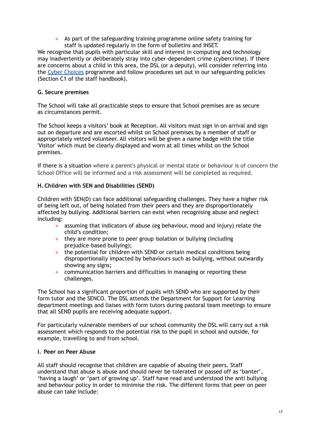● As part of the safeguarding training programme online safety training for staff is updated regularly in the form of bulletins and INSET.

We recognise that pupils with particular skill and interest in computing and technology may inadvertently or deliberately stray into cyber-dependent crime (cybercrime). If there are concerns about a child in this area, the DSL (or a deputy), will consider referring into the Cyber [Choices](https://nationalcrimeagency.gov.uk/what-we-do/crime-threats/cyber-crime/cyberchoices) programme and follow procedures set out in our safeguarding policies (Section C1 of the staff handbook).

### **G. Secure premises**

The School will take all practicable steps to ensure that School premises are as secure as circumstances permit.

The School keeps a visitors' book at Reception. All visitors must sign in on arrival and sign out on departure and are escorted whilst on School premises by a member of staff or appropriately vetted volunteer. All visitors will be given a name badge with the title 'Visitor' which must be clearly displayed and worn at all times whilst on the School premises.

If there is a situation where a parent's physical or mental state or behaviour is of concern the School Office will be informed and a risk assessment will be completed as required.

### **H. Children with SEN and Disabilities (SEND)**

Children with SEN(D) can face additional safeguarding challenges. They have a higher risk of being left out, of being isolated from their peers and they are disproportionately affected by bullying. Additional barriers can exist when recognising abuse and neglect including:

- assuming that indicators of abuse (eg behaviour, mood and injury) relate the child's condition;
- they are more prone to peer group isolation or bullying (including prejudice-based bullying);
- the potential for children with SEND or certain medical conditions being disproportionally impacted by behaviours such as bullying, without outwardly showing any signs;
- communication barriers and difficulties in managing or reporting these challenges.

The School has a significant proportion of pupils with SEND who are supported by their form tutor and the SENCO. The DSL attends the Department for Support for Learning department meetings and liaises with form tutors during pastoral team meetings to ensure that all SEND pupils are receiving adequate support.

For particularly vulnerable members of our school community the DSL will carry out a risk assessment which responds to the potential risk to the pupil in school and outside, for example, travelling to and from school.

#### **I. Peer on Peer Abuse**

All staff should recognise that children are capable of abusing their peers. Staff understand that abuse is abuse and should never be tolerated or passed off as 'banter', 'having a laugh' or 'part of growing up'. Staff have read and understood the anti bullying and behaviour policy in order to minimise the risk. The different forms that peer on peer abuse can take include: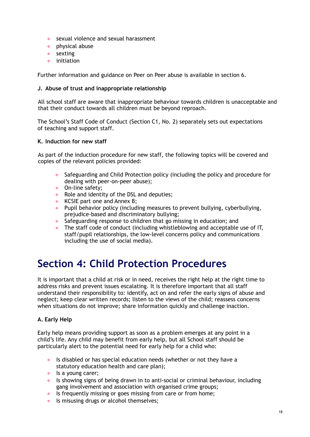- sexual violence and sexual harassment
- physical abuse
- sexting
- initiation

Further information and guidance on Peer on Peer abuse is available in section 6.

#### **J. Abuse of trust and inappropriate relationship**

All school staff are aware that inappropriate behaviour towards children is unacceptable and that their conduct towards all children must be beyond reproach.

The School's Staff Code of Conduct (Section C1, No. 2) separately sets out expectations of teaching and support staff.

#### **K. Induction for new staff**

As part of the induction procedure for new staff, the following topics will be covered and copies of the relevant policies provided:

- Safeguarding and Child Protection policy (including the policy and procedure for dealing with peer-on-peer abuse);
- On-line safety:
- Role and identity of the DSL and deputies;
- KCSIE part one and Annex B;
- Pupil behavior policy (including measures to prevent bullying, cyberbullying, prejudice-based and discriminatory bullying;
- Safeguarding response to children that go missing in education; and
- The staff code of conduct (including whistleblowing and acceptable use of IT, staff/pupil relationships, the low-level concerns policy and communications including the use of social media).

# **Section 4: Child Protection Procedures**

It is important that a child at risk or in need, receives the right help at the right time to address risks and prevent issues escalating. It is therefore important that all staff understand their responsibility to: identify, act on and refer the early signs of abuse and neglect; keep clear written records; listen to the views of the child; reassess concerns when situations do not improve; share information quickly and challenge inaction.

# **A. Early Help**

Early help means providing support as soon as a problem emerges at any point in a child's life. Any child may benefit from early help, but all School staff should be particularly alert to the potential need for early help for a child who:

- Is disabled or has special education needs (whether or not they have a statutory education health and care plan);
- Is a young carer;
- Is showing signs of being drawn in to anti-social or criminal behaviour, including gang involvement and association with organised crime groups;
- Is frequently missing or goes missing from care or from home;
- Is misusing drugs or alcohol themselves: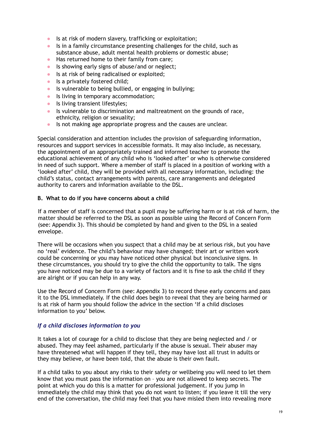- Is at risk of modern slavery, trafficking or exploitation;
- Is in a family circumstance presenting challenges for the child, such as substance abuse, adult mental health problems or domestic abuse;
- Has returned home to their family from care;
- Is showing early signs of abuse/and or neglect;
- Is at risk of being radicalised or exploited;
- Is a privately fostered child:
- Is vulnerable to being bullied, or engaging in bullying;
- Is living in temporary accommodation;
- Is living transient lifestyles;
- Is vulnerable to discrimination and maltreatment on the grounds of race, ethnicity, religion or sexuality;
- Is not making age appropriate progress and the causes are unclear.

Special consideration and attention includes the provision of safeguarding information, resources and support services in accessible formats. It may also include, as necessary, the appointment of an appropriately trained and informed teacher to promote the educational achievement of any child who is 'looked after' or who is otherwise considered in need of such support. Where a member of staff is placed in a position of working with a 'looked after' child, they will be provided with all necessary information, including: the child's status, contact arrangements with parents, care arrangements and delegated authority to carers and information available to the DSL.

#### **B. What to do if you have concerns about a child**

If a member of staff is concerned that a pupil may be suffering harm or is at risk of harm, the matter should be referred to the DSL as soon as possible using the Record of Concern Form (see: Appendix 3). This should be completed by hand and given to the DSL in a sealed envelope.

There will be occasions when you suspect that a child may be at serious risk, but you have no 'real' evidence. The child's behaviour may have changed; their art or written work could be concerning or you may have noticed other physical but inconclusive signs. In these circumstances, you should try to give the child the opportunity to talk. The signs you have noticed may be due to a variety of factors and it is fine to ask the child if they are alright or if you can help in any way.

Use the Record of Concern Form (see: Appendix 3) to record these early concerns and pass it to the DSL immediately. If the child does begin to reveal that they are being harmed or is at risk of harm you should follow the advice in the section 'If a child discloses information to you' below.

#### *If a child discloses information to you*

It takes a lot of courage for a child to disclose that they are being neglected and / or abused. They may feel ashamed, particularly if the abuse is sexual. Their abuser may have threatened what will happen if they tell, they may have lost all trust in adults or they may believe, or have been told, that the abuse is their own fault.

If a child talks to you about any risks to their safety or wellbeing you will need to let them know that you must pass the information on – you are not allowed to keep secrets. The point at which you do this is a matter for professional judgement. If you jump in immediately the child may think that you do not want to listen; if you leave it till the very end of the conversation, the child may feel that you have misled them into revealing more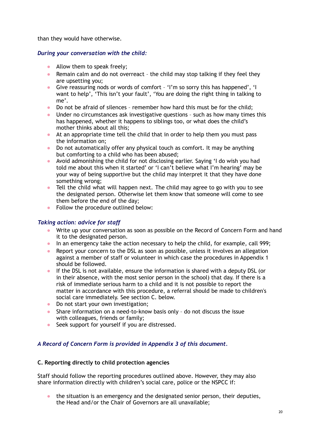than they would have otherwise.

### *During your conversation with the child:*

- Allow them to speak freely;
- Remain calm and do not overreact the child may stop talking if they feel they are upsetting you;
- Give reassuring nods or words of comfort 'I'm so sorry this has happened', 'I want to help', 'This isn't your fault', 'You are doing the right thing in talking to me'.
- Do not be afraid of silences remember how hard this must be for the child;
- Under no circumstances ask investigative questions such as how many times this has happened, whether it happens to siblings too, or what does the child's mother thinks about all this;
- At an appropriate time tell the child that in order to help them you must pass the information on;
- Do not automatically offer any physical touch as comfort. It may be anything but comforting to a child who has been abused;
- Avoid admonishing the child for not disclosing earlier. Saying 'I do wish you had told me about this when it started' or 'I can't believe what I'm hearing' may be your way of being supportive but the child may interpret it that they have done something wrong;
- Tell the child what will happen next. The child may agree to go with you to see the designated person. Otherwise let them know that someone will come to see them before the end of the day;
- Follow the procedure outlined below:

# *Taking action: advice for staff*

- Write up your conversation as soon as possible on the Record of Concern Form and hand it to the designated person.
- In an emergency take the action necessary to help the child, for example, call 999;
- Report your concern to the DSL as soon as possible, unless it involves an allegation against a member of staff or volunteer in which case the procedures in Appendix 1 should be followed.
- If the DSL is not available, ensure the information is shared with a deputy DSL (or in their absence, with the most senior person in the school) that day. If there is a risk of immediate serious harm to a child and it is not possible to report the matter in accordance with this procedure, a referral should be made to children's social care immediately. See section C. below.
- Do not start your own investigation;
- Share information on a need-to-know basis only do not discuss the issue with colleagues, friends or family;
- Seek support for yourself if you are distressed.

#### *A Record of Concern Form is provided in Appendix 3 of this document.*

#### **C. Reporting directly to child protection agencies**

Staff should follow the reporting procedures outlined above. However, they may also share information directly with children's social care, police or the NSPCC if:

• the situation is an emergency and the designated senior person, their deputies, the Head and/or the Chair of Governors are all unavailable;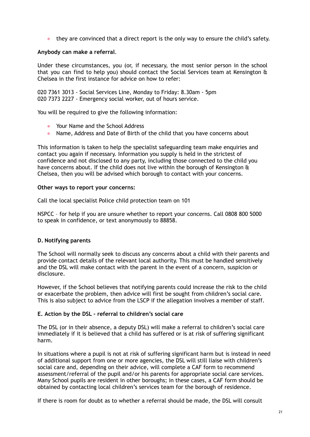• they are convinced that a direct report is the only way to ensure the child's safety.

#### **Anybody can make a referral**.

Under these circumstances, you (or, if necessary, the most senior person in the school that you can find to help you) should contact the Social Services team at Kensington & Chelsea in the first instance for advice on how to refer:

020 7361 3013 - Social Services Line, Monday to Friday: 8.30am - 5pm 020 7373 2227 - Emergency social worker, out of hours service.

You will be required to give the following information:

- Your Name and the School Address
- Name, Address and Date of Birth of the child that you have concerns about

This information is taken to help the specialist safeguarding team make enquiries and contact you again if necessary. Information you supply is held in the strictest of confidence and not disclosed to any party, including those connected to the child you have concerns about. If the child does not live within the borough of Kensington & Chelsea, then you will be advised which borough to contact with your concerns.

#### **Other ways to report your concerns:**

Call the local specialist Police child protection team on 101

NSPCC – for help if you are unsure whether to report your concerns. Call 0808 800 5000 to speak in confidence, or text anonymously to 88858.

#### **D. Notifying parents**

The School will normally seek to discuss any concerns about a child with their parents and provide contact details of the relevant local authority. This must be handled sensitively and the DSL will make contact with the parent in the event of a concern, suspicion or disclosure.

However, if the School believes that notifying parents could increase the risk to the child or exacerbate the problem, then advice will first be sought from children's social care. This is also subject to advice from the LSCP if the allegation involves a member of staff.

#### **E. Action by the DSL - referral to children's social care**

The DSL (or in their absence, a deputy DSL) will make a referral to children's social care immediately if it is believed that a child has suffered or is at risk of suffering significant harm.

In situations where a pupil is not at risk of suffering significant harm but is instead in need of additional support from one or more agencies, the DSL will still liaise with children's social care and, depending on their advice, will complete a CAF form to recommend assessment/referral of the pupil and/or his parents for appropriate social care services. Many School pupils are resident in other boroughs; in these cases, a CAF form should be obtained by contacting local children's services team for the borough of residence.

If there is room for doubt as to whether a referral should be made, the DSL will consult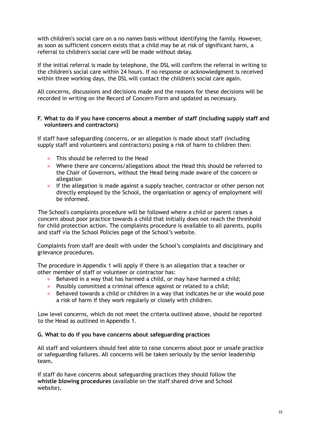with children's social care on a no names basis without identifying the family. However, as soon as sufficient concern exists that a child may be at risk of significant harm, a referral to children's social care will be made without delay.

If the initial referral is made by telephone, the DSL will confirm the referral in writing to the children's social care within 24 hours. If no response or acknowledgment is received within three working days, the DSL will contact the children's social care again.

All concerns, discussions and decisions made and the reasons for these decisions will be recorded in writing on the Record of Concern Form and updated as necessary.

#### **F. What to do if you have concerns about a member of staff (including supply staff and volunteers and contractors)**

If staff have safeguarding concerns, or an allegation is made about staff (including supply staff and volunteers and contractors) posing a risk of harm to children then:

- This should be referred to the Head
- Where there are concerns/allegations about the Head this should be referred to the Chair of Governors, without the Head being made aware of the concern or allegation
- If the allegation is made against a supply teacher, contractor or other person not directly employed by the School, the organisation or agency of employment will be informed.

The School's complaints procedure will be followed where a child or parent raises a concern about poor practice towards a child that initially does not reach the threshold for child protection action. The complaints procedure is available to all parents, pupils and staff via the School Policies page of the School's website.

Complaints from staff are dealt with under the School's complaints and disciplinary and grievance procedures.

The procedure in Appendix 1 will apply if there is an allegation that a teacher or other member of staff or volunteer or contractor has:

- Behaved in a way that has harmed a child, or may have harmed a child;
- Possibly committed a criminal offence against or related to a child;
- Behaved towards a child or children in a way that indicates he or she would pose a risk of harm if they work regularly or closely with children.

Low level concerns, which do not meet the criteria outlined above, should be reported to the Head as outlined in Appendix 1.

#### **G. What to do if you have concerns about safeguarding practices**

All staff and volunteers should feel able to raise concerns about poor or unsafe practice or safeguarding failures. All concerns will be taken seriously by the senior leadership team**.**

If staff do have concerns about safeguarding practices they should follow the **whistle blowing procedures** (available on the staff shared drive and School website)**.**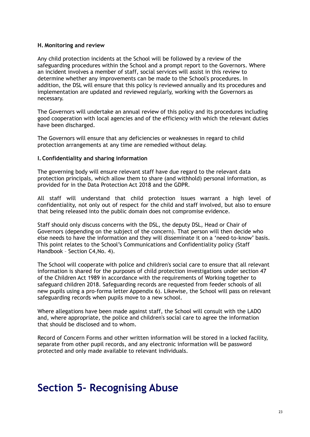#### **H. Monitoring and review**

Any child protection incidents at the School will be followed by a review of the safeguarding procedures within the School and a prompt report to the Governors. Where an incident involves a member of staff, social services will assist in this review to determine whether any improvements can be made to the School's procedures. In addition, the DSL will ensure that this policy is reviewed annually and its procedures and implementation are updated and reviewed regularly, working with the Governors as necessary.

The Governors will undertake an annual review of this policy and its procedures including good cooperation with local agencies and of the efficiency with which the relevant duties have been discharged.

The Governors will ensure that any deficiencies or weaknesses in regard to child protection arrangements at any time are remedied without delay.

#### **I. Confidentiality and sharing information**

The governing body will ensure relevant staff have due regard to the relevant data protection principals, which allow them to share (and withhold) personal information, as provided for in the Data Protection Act 2018 and the GDPR.

All staff will understand that child protection issues warrant a high level of confidentiality, not only out of respect for the child and staff involved, but also to ensure that being released into the public domain does not compromise evidence.

Staff should only discuss concerns with the DSL, the deputy DSL, Head or Chair of Governors (depending on the subject of the concern). That person will then decide who else needs to have the information and they will disseminate it on a 'need-to-know' basis. This point relates to the School's Communications and Confidentiality policy (Staff Handbook – Section C4,No. 4).

The School will cooperate with police and children's social care to ensure that all relevant information is shared for the purposes of child protection investigations under section 47 of the Children Act 1989 in accordance with the requirements of Working together to safeguard children 2018. Safeguarding records are requested from feeder schools of all new pupils using a pro-forma letter Appendix 6). Likewise, the School will pass on relevant safeguarding records when pupils move to a new school.

Where allegations have been made against staff, the School will consult with the LADO and, where appropriate, the police and children's social care to agree the information that should be disclosed and to whom.

Record of Concern Forms and other written information will be stored in a locked facility, separate from other pupil records, and any electronic information will be password protected and only made available to relevant individuals.

# **Section 5- Recognising Abuse**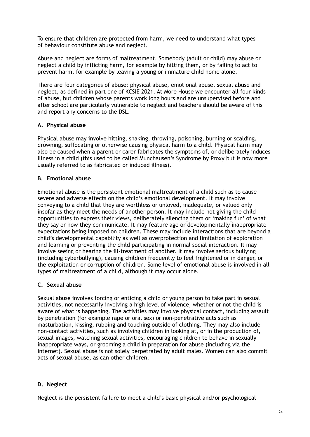To ensure that children are protected from harm, we need to understand what types of behaviour constitute abuse and neglect.

Abuse and neglect are forms of maltreatment. Somebody (adult or child) may abuse or neglect a child by inflicting harm, for example by hitting them, or by failing to act to prevent harm, for example by leaving a young or immature child home alone.

There are four categories of abuse: physical abuse, emotional abuse, sexual abuse and neglect, as defined in part one of KCSIE 2021. At More House we encounter all four kinds of abuse, but children whose parents work long hours and are unsupervised before and after school are particularly vulnerable to neglect and teachers should be aware of this and report any concerns to the DSL.

### **A. Physical abuse**

Physical abuse may involve hitting, shaking, throwing, poisoning, burning or scalding, drowning, suffocating or otherwise causing physical harm to a child. Physical harm may also be caused when a parent or carer fabricates the symptoms of, or deliberately induces illness in a child (this used to be called Munchausen's Syndrome by Proxy but is now more usually referred to as fabricated or induced illness).

### **B. Emotional abuse**

Emotional abuse is the persistent emotional maltreatment of a child such as to cause severe and adverse effects on the child's emotional development. It may involve conveying to a child that they are worthless or unloved, inadequate, or valued only insofar as they meet the needs of another person. It may include not giving the child opportunities to express their views, deliberately silencing them or 'making fun' of what they say or how they communicate. It may feature age or developmentally inappropriate expectations being imposed on children. These may include interactions that are beyond a child's developmental capability as well as overprotection and limitation of exploration and learning or preventing the child participating in normal social interaction. It may involve seeing or hearing the ill-treatment of another. It may involve serious bullying (including cyberbullying), causing children frequently to feel frightened or in danger, or the exploitation or corruption of children. Some level of emotional abuse is involved in all types of maltreatment of a child, although it may occur alone.

#### **C. Sexual abuse**

Sexual abuse involves forcing or enticing a child or young person to take part in sexual activities, not necessarily involving a high level of violence, whether or not the child is aware of what is happening. The activities may involve physical contact, including assault by penetration (for example rape or oral sex) or non-penetrative acts such as masturbation, kissing, rubbing and touching outside of clothing. They may also include non-contact activities, such as involving children in looking at, or in the production of, sexual images, watching sexual activities, encouraging children to behave in sexually inappropriate ways, or grooming a child in preparation for abuse (including via the internet). Sexual abuse is not solely perpetrated by adult males. Women can also commit acts of sexual abuse, as can other children.

# **D. Neglect**

Neglect is the persistent failure to meet a child's basic physical and/or psychological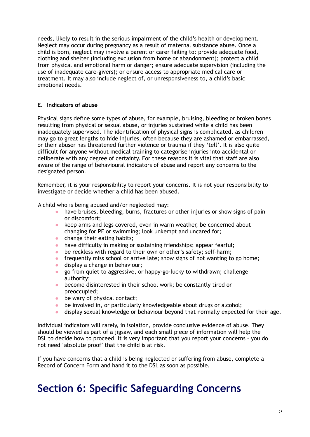needs, likely to result in the serious impairment of the child's health or development. Neglect may occur during pregnancy as a result of maternal substance abuse. Once a child is born, neglect may involve a parent or carer failing to: provide adequate food, clothing and shelter (including exclusion from home or abandonment); protect a child from physical and emotional harm or danger; ensure adequate supervision (including the use of inadequate care-givers); or ensure access to appropriate medical care or treatment. It may also include neglect of, or unresponsiveness to, a child's basic emotional needs.

# **E. Indicators of abuse**

Physical signs define some types of abuse, for example, bruising, bleeding or broken bones resulting from physical or sexual abuse, or injuries sustained while a child has been inadequately supervised. The identification of physical signs is complicated, as children may go to great lengths to hide injuries, often because they are ashamed or embarrassed, or their abuser has threatened further violence or trauma if they 'tell'. It is also quite difficult for anyone without medical training to categorise injuries into accidental or deliberate with any degree of certainty. For these reasons it is vital that staff are also aware of the range of behavioural indicators of abuse and report any concerns to the designated person.

Remember, it is your responsibility to report your concerns. It is not your responsibility to investigate or decide whether a child has been abused.

A child who is being abused and/or neglected may:

- have bruises, bleeding, burns, fractures or other injuries or show signs of pain or discomfort;
- keep arms and legs covered, even in warm weather, be concerned about changing for PE or swimming; look unkempt and uncared for;
- change their eating habits;
- have difficulty in making or sustaining friendships; appear fearful;
- be reckless with regard to their own or other's safety; self-harm;
- frequently miss school or arrive late; show signs of not wanting to go home;
- $\bullet$  display a change in behaviour:
- go from quiet to aggressive, or happy-go-lucky to withdrawn; challenge authority;
- become disinterested in their school work; be constantly tired or preoccupied;
- $\bullet$  be wary of physical contact;
- be involved in, or particularly knowledgeable about drugs or alcohol;
- display sexual knowledge or behaviour beyond that normally expected for their age.

Individual indicators will rarely, in isolation, provide conclusive evidence of abuse. They should be viewed as part of a jigsaw, and each small piece of information will help the DSL to decide how to proceed. It is very important that you report your concerns – you do not need 'absolute proof' that the child is at risk.

If you have concerns that a child is being neglected or suffering from abuse, complete a Record of Concern Form and hand it to the DSL as soon as possible.

# **Section 6: Specific Safeguarding Concerns**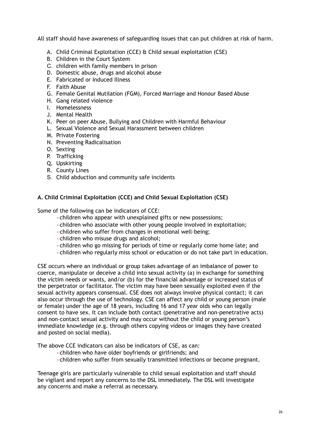All staff should have awareness of safeguarding issues that can put children at risk of harm.

- A. Child Criminal Exploitation (CCE) & Child sexual exploitation (CSE)
- B. Children in the Court System
- C. children with family members in prison
- D. Domestic abuse, drugs and alcohol abuse
- E. Fabricated or Induced Illness
- F. Faith Abuse
- G. Female Genital Mutilation (FGM), Forced Marriage and Honour Based Abuse
- H. Gang related violence
- I. Homelessness
- J. Mental Health
- K. Peer on peer Abuse, Bullying and Children with Harmful Behaviour
- L. Sexual Violence and Sexual Harassment between children
- M. Private Fostering
- N. Preventing Radicalisation
- O. Sexting
- P. Trafficking
- Q. Upskirting
- R. County Lines
- S. Child abduction and community safe incidents

### **A. Child Criminal Exploitation (CCE) and Child Sexual Exploitation (CSE)**

Some of the following can be indicators of CCE:

- •children who appear with unexplained gifts or new possessions;
- •children who associate with other young people involved in exploitation;
- •children who suffer from changes in emotional well-being;
- •children who misuse drugs and alcohol;
- •children who go missing for periods of time or regularly come home late; and
- •children who regularly miss school or education or do not take part in education.

CSE occurs where an individual or group takes advantage of an imbalance of power to coerce, manipulate or deceive a child into sexual activity (a) in exchange for something the victim needs or wants, and/or (b) for the financial advantage or increased status of the perpetrator or facilitator. The victim may have been sexually exploited even if the sexual activity appears consensual. CSE does not always involve physical contact; it can also occur through the use of technology. CSE can affect any child or young person (male or female) under the age of 18 years, including 16 and 17 year olds who can legally consent to have sex. It can include both contact (penetrative and non-penetrative acts) and non-contact sexual activity and may occur without the child or young person's immediate knowledge (e.g. through others copying videos or images they have created and posted on social media).

The above CCE indicators can also be indicators of CSE, as can:

- •children who have older boyfriends or girlfriends; and
- •children who suffer from sexually transmitted infections or become pregnant.

Teenage girls are particularly vulnerable to child sexual exploitation and staff should be vigilant and report any concerns to the DSL immediately. The DSL will investigate any concerns and make a referral as necessary.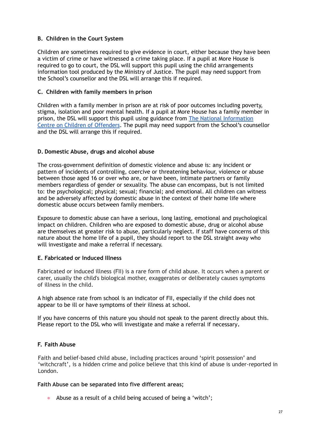## **B. Children in the Court System**

Children are sometimes required to give evidence in court, either because they have been a victim of crime or have witnessed a crime taking place. If a pupil at More House is required to go to court, the DSL will support this pupil using the child arrangements information tool produced by the Ministry of Justice. The pupil may need support from the School's counsellor and the DSL will arrange this if required.

#### **C. Children with family members in prison**

Children with a family member in prison are at risk of poor outcomes including poverty, stigma, isolation and poor mental health. If a pupil at More House has a family member in prison, the DSL will support this pupil using guidance from The National [Information](https://www.nicco.org.uk/) Centre on Children of [Offenders](https://www.nicco.org.uk/). The pupil may need support from the School's counsellor and the DSL will arrange this if required.

### **D. Domestic Abuse, drugs and alcohol abuse**

The cross-government definition of domestic violence and abuse is: any incident or pattern of incidents of controlling, coercive or threatening behaviour, violence or abuse between those aged 16 or over who are, or have been, intimate partners or family members regardless of gender or sexuality. The abuse can encompass, but is not limited to: the psychological; physical; sexual; financial; and emotional. All children can witness and be adversely affected by domestic abuse in the context of their home life where domestic abuse occurs between family members.

Exposure to domestic abuse can have a serious, long lasting, emotional and psychological impact on children. Children who are exposed to domestic abuse, drug or alcohol abuse are themselves at greater risk to abuse, particularly neglect. If staff have concerns of this nature about the home life of a pupil, they should report to the DSL straight away who will investigate and make a referral if necessary.

#### **E. Fabricated or Induced Illness**

Fabricated or induced illness (FII) is a rare form of child abuse. It occurs when a parent or carer, usually the child's biological mother, exaggerates or deliberately causes symptoms of illness in the child.

A high absence rate from school is an indicator of FII, especially if the child does not appear to be ill or have symptoms of their illness at school.

If you have concerns of this nature you should not speak to the parent directly about this. Please report to the DSL who will investigate and make a referral if necessary**.**

# **F. Faith Abuse**

Faith and belief-based child abuse, including practices around 'spirit possession' and 'witchcraft', is a hidden crime and police believe that this kind of abuse is under-reported in London.

#### **Faith Abuse can be separated into five different areas;**

● Abuse as a result of a child being accused of being a 'witch';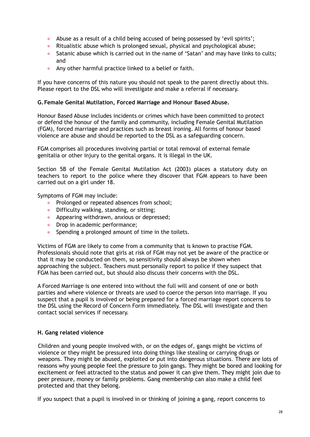- Abuse as a result of a child being accused of being possessed by 'evil spirits';
- Ritualistic abuse which is prolonged sexual, physical and psychological abuse;
- Satanic abuse which is carried out in the name of 'Satan' and may have links to cults; and
- Any other harmful practice linked to a belief or faith.

If you have concerns of this nature you should not speak to the parent directly about this. Please report to the DSL who will investigate and make a referral if necessary.

#### **G.Female Genital Mutilation, Forced Marriage and Honour Based Abuse.**

Honour Based Abuse includes incidents or crimes which have been committed to protect or defend the honour of the family and community, including Female Genital Mutilation (FGM), forced marriage and practices such as breast ironing. All forms of honour based violence are abuse and should be reported to the DSL as a safeguarding concern.

FGM comprises all procedures involving partial or total removal of external female genitalia or other injury to the genital organs. It is illegal in the UK.

Section 5B of the Female Genital Mutilation Act (2003) places a statutory duty on teachers to report to the police where they discover that FGM appears to have been carried out on a girl under 18.

Symptoms of FGM may include:

- Prolonged or repeated absences from school;
- Difficulty walking, standing, or sitting;
- Appearing withdrawn, anxious or depressed;
- Drop in academic performance;
- Spending a prolonged amount of time in the toilets.

Victims of FGM are likely to come from a community that is known to practise FGM. Professionals should note that girls at risk of FGM may not yet be aware of the practice or that it may be conducted on them, so sensitivity should always be shown when approaching the subject. Teachers must personally report to police if they suspect that FGM has been carried out, but should also discuss their concerns with the DSL.

A Forced Marriage is one entered into without the full will and consent of one or both parties and where violence or threats are used to coerce the person into marriage. If you suspect that a pupil is involved or being prepared for a forced marriage report concerns to the DSL using the Record of Concern Form immediately. The DSL will investigate and then contact social services if necessary.

#### **H. Gang related violence**

Children and young people involved with, or on the edges of, gangs might be victims of violence or they might be pressured into doing things like stealing or carrying drugs or weapons. They might be abused, exploited or put into dangerous situations. There are lots of reasons why young people feel the pressure to join gangs. They might be bored and looking for excitement or feel attracted to the status and power it can give them. They might join due to peer pressure, money or family problems. Gang membership can also make a child feel protected and that they belong.

If you suspect that a pupil is involved in or thinking of joining a gang, report concerns to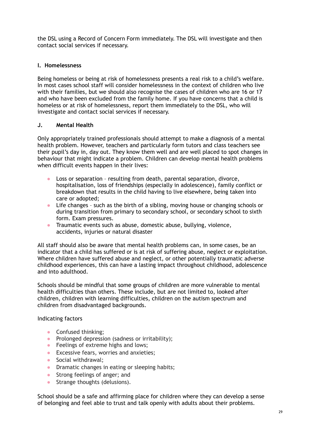the DSL using a Record of Concern Form immediately. The DSL will investigate and then contact social services if necessary.

# **I. Homelessness**

Being homeless or being at risk of homelessness presents a real risk to a child's welfare. In most cases school staff will consider homelessness in the context of children who live with their families, but we should also recognise the cases of children who are 16 or 17 and who have been excluded from the family home. If you have concerns that a child is homeless or at risk of homelessness, report them immediately to the DSL, who will investigate and contact social services if necessary.

### **J. Mental Health**

Only appropriately trained professionals should attempt to make a diagnosis of a mental health problem. However, teachers and particularly form tutors and class teachers see their pupil's day in, day out. They know them well and are well placed to spot changes in behaviour that might indicate a problem. Children can develop mental health problems when difficult events happen in their lives:

- Loss or separation resulting from death, parental separation, divorce, hospitalisation, loss of friendships (especially in adolescence), family conflict or breakdown that results in the child having to live elsewhere, being taken into care or adopted;
- Life changes such as the birth of a sibling, moving house or changing schools or during transition from primary to secondary school, or secondary school to sixth form. Exam pressures.
- Traumatic events such as abuse, domestic abuse, bullying, violence, accidents, injuries or natural disaster

All staff should also be aware that mental health problems can, in some cases, be an indicator that a child has suffered or is at risk of suffering abuse, neglect or exploitation. Where children have suffered abuse and neglect, or other potentially traumatic adverse childhood experiences, this can have a lasting impact throughout childhood, adolescence and into adulthood.

Schools should be mindful that some groups of children are more vulnerable to mental health difficulties than others. These include, but are not limited to, looked after children, children with learning difficulties, children on the autism spectrum and children from disadvantaged backgrounds.

#### Indicating factors

- Confused thinking;
- Prolonged depression (sadness or irritability);
- Feelings of extreme highs and lows;
- Excessive fears, worries and anxieties;
- Social withdrawal:
- Dramatic changes in eating or sleeping habits;
- Strong feelings of anger; and
- Strange thoughts (delusions).

School should be a safe and affirming place for children where they can develop a sense of belonging and feel able to trust and talk openly with adults about their problems.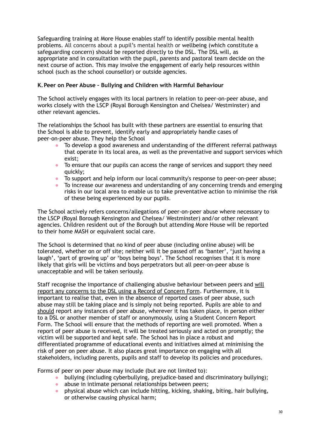Safeguarding training at More House enables staff to identify possible mental health problems. All concerns about a pupil's mental health or wellbeing (which constitute a safeguarding concern) should be reported directly to the DSL. The DSL will, as appropriate and in consultation with the pupil, parents and pastoral team decide on the next course of action. This may involve the engagement of early help resources within school (such as the school counsellor) or outside agencies.

# **K.Peer on Peer Abuse – Bullying and Children with Harmful Behaviour**

The School actively engages with its local partners in relation to peer-on-peer abuse, and works closely with the LSCP (Royal Borough Kensington and Chelsea/ Westminster) and other relevant agencies.

The relationships the School has built with these partners are essential to ensuring that the School is able to prevent, identify early and appropriately handle cases of peer-on-peer abuse. They help the School

- To develop a good awareness and understanding of the different referral pathways that operate in its local area, as well as the preventative and support services which exist;
- To ensure that our pupils can access the range of services and support they need quickly;
- To support and help inform our local community's response to peer-on-peer abuse;
- To increase our awareness and understanding of any concerning trends and emerging risks in our local area to enable us to take preventative action to minimise the risk of these being experienced by our pupils.

The School actively refers concerns/allegations of peer-on-peer abuse where necessary to the LSCP (Royal Borough Kensington and Chelsea/ Westminster) and/or other relevant agencies. Children resident out of the Borough but attending More House will be reported to their home MASH or equivalent social care.

The School is determined that no kind of peer abuse (including online abuse) will be tolerated, whether on or off site; neither will it be passed off as 'banter', 'just having a laugh', 'part of growing up' or 'boys being boys'. The School recognises that it is more likely that girls will be victims and boys perpetrators but all peer-on-peer abuse is unacceptable and will be taken seriously.

Staff recognise the importance of challenging abusive behaviour between peers and will report any concerns to the DSL using a Record of Concern Form. Furthermore, it is important to realise that, even in the absence of reported cases of peer abuse, such abuse may still be taking place and is simply not being reported. Pupils are able to and should report any instances of peer abuse, wherever it has taken place, in person either to a DSL or another member of staff or anonymously, using a Student Concern Report Form. The School will ensure that the methods of reporting are well promoted. When a report of peer abuse is received, it will be treated seriously and acted on promptly; the victim will be supported and kept safe. The School has in place a robust and differentiated programme of educational events and initiatives aimed at minimising the risk of peer on peer abuse. It also places great importance on engaging with all stakeholders, including parents, pupils and staff to develop its policies and procedures.

Forms of peer on peer abuse may include (but are not limited to):

- bullying (including cyberbullying, prejudice-based and discriminatory bullying);
- abuse in intimate personal relationships between peers;
- physical abuse which can include hitting, kicking, shaking, biting, hair bullying, or otherwise causing physical harm;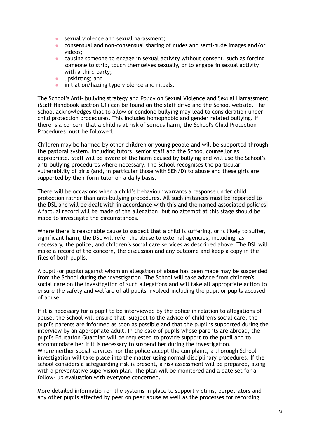- **•** sexual violence and sexual harassment:
- consensual and non-consensual sharing of nudes and semi-nude images and/or videos;
- causing someone to engage in sexual activity without consent, such as forcing someone to strip, touch themselves sexually, or to engage in sexual activity with a third party;
- upskirting; and
- **•** initiation/hazing type violence and rituals.

The School's Anti- bullying strategy and Policy on Sexual Violence and Sexual Harrassment (Staff Handbook section C1) can be found on the staff drive and the School website. The School acknowledges that to allow or condone bullying may lead to consideration under child protection procedures. This includes homophobic and gender related bullying. If there is a concern that a child is at risk of serious harm, the School's Child Protection Procedures must be followed.

Children may be harmed by other children or young people and will be supported through the pastoral system, including tutors, senior staff and the School counsellor as appropriate. Staff will be aware of the harm caused by bullying and will use the School's anti-bullying procedures where necessary. The School recognises the particular vulnerability of girls (and, in particular those with SEN/D) to abuse and these girls are supported by their form tutor on a daily basis.

There will be occasions when a child's behaviour warrants a response under child protection rather than anti-bullying procedures. All such instances must be reported to the DSL and will be dealt with in accordance with this and the named associated policies. A factual record will be made of the allegation, but no attempt at this stage should be made to investigate the circumstances.

Where there is reasonable cause to suspect that a child is suffering, or is likely to suffer, significant harm, the DSL will refer the abuse to external agencies, including, as necessary, the police, and children's social care services as described above. The DSL will make a record of the concern, the discussion and any outcome and keep a copy in the files of both pupils.

A pupil (or pupils) against whom an allegation of abuse has been made may be suspended from the School during the investigation. The School will take advice from children's social care on the investigation of such allegations and will take all appropriate action to ensure the safety and welfare of all pupils involved including the pupil or pupils accused of abuse.

If it is necessary for a pupil to be interviewed by the police in relation to allegations of abuse, the School will ensure that, subject to the advice of children's social care, the pupil's parents are informed as soon as possible and that the pupil is supported during the interview by an appropriate adult. In the case of pupils whose parents are abroad, the pupil's Education Guardian will be requested to provide support to the pupil and to accommodate her if it is necessary to suspend her during the investigation. Where neither social services nor the police accept the complaint, a thorough School investigation will take place into the matter using normal disciplinary procedures. If the school considers a safeguarding risk is present, a risk assessment will be prepared, along with a preventative supervision plan. The plan will be monitored and a date set for a follow- up evaluation with everyone concerned.

More detailed information on the systems in place to support victims, perpetrators and any other pupils affected by peer on peer abuse as well as the processes for recording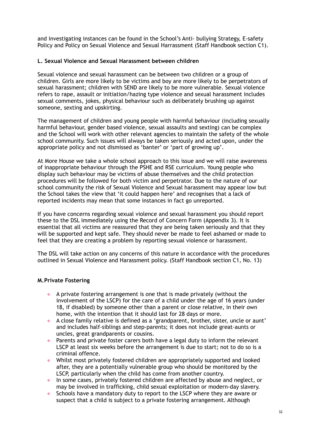and investigating instances can be found in the School's Anti- bullying Strategy, E-safety Policy and Policy on Sexual Violence and Sexual Harrassment (Staff Handbook section C1).

#### **L. Sexual Violence and Sexual Harassment between children**

Sexual violence and sexual harassment can be between two children or a group of children. Girls are more likely to be victims and boy are more likely to be perpetrators of sexual harassment; children with SEND are likely to be more vulnerable. Sexual violence refers to rape, assault or initiation/hazing type violence and sexual harassment includes sexual comments, jokes, physical behaviour such as deliberately brushing up against someone, sexting and upskirting.

The management of children and young people with harmful behaviour (including sexually harmful behaviour, gender based violence, sexual assaults and sexting) can be complex and the School will work with other relevant agencies to maintain the safety of the whole school community. Such issues will always be taken seriously and acted upon, under the appropriate policy and not dismissed as 'banter' or 'part of growing up'.

At More House we take a whole school approach to this issue and we will raise awareness of inappropriate behaviour through the PSHE and RSE curriculum. Young people who display such behaviour may be victims of abuse themselves and the child protection procedures will be followed for both victim and perpetrator. Due to the nature of our school community the risk of Sexual Violence and Sexual harassment may appear low but the School takes the view that 'it could happen here' and recognises that a lack of reported incidents may mean that some instances in fact go unreported.

If you have concerns regarding sexual violence and sexual harassment you should report these to the DSL immediately using the Record of Concern Form (Appendix 3). It is essential that all victims are reassured that they are being taken seriously and that they will be supported and kept safe. They should never be made to feel ashamed or made to feel that they are creating a problem by reporting sexual violence or harassment.

The DSL will take action on any concerns of this nature in accordance with the procedures outlined in Sexual Violence and Harassment policy. (Staff Handbook section C1, No. 13)

#### **M.Private Fostering**

- A private fostering arrangement is one that is made privately (without the involvement of the LSCP) for the care of a child under the age of 16 years (under 18, if disabled) by someone other than a parent or close relative, in their own home, with the intention that it should last for 28 days or more.
- A close family relative is defined as a 'grandparent, brother, sister, uncle or aunt' and includes half-siblings and step-parents; it does not include great-aunts or uncles, great grandparents or cousins.
- Parents and private foster carers both have a legal duty to inform the relevant LSCP at least six weeks before the arrangement is due to start; not to do so is a criminal offence.
- Whilst most privately fostered children are appropriately supported and looked after, they are a potentially vulnerable group who should be monitored by the LSCP, particularly when the child has come from another country.
- In some cases, privately fostered children are affected by abuse and neglect, or may be involved in trafficking, child sexual exploitation or modern-day slavery.
- Schools have a mandatory duty to report to the LSCP where they are aware or suspect that a child is subject to a private fostering arrangement. Although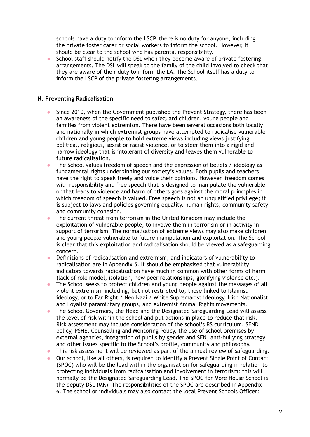schools have a duty to inform the LSCP, there is no duty for anyone, including the private foster carer or social workers to inform the school. However, it should be clear to the school who has parental responsibility.

• School staff should notify the DSL when they become aware of private fostering arrangements. The DSL will speak to the family of the child involved to check that they are aware of their duty to inform the LA. The School itself has a duty to inform the LSCP of the private fostering arrangements.

#### **N. Preventing Radicalisation**

- Since 2010, when the Government published the Prevent Strategy, there has been an awareness of the specific need to safeguard children, young people and families from violent extremism. There have been several occasions both locally and nationally in which extremist groups have attempted to radicalise vulnerable children and young people to hold extreme views including views justifying political, religious, sexist or racist violence, or to steer them into a rigid and narrow ideology that is intolerant of diversity and leaves them vulnerable to future radicalisation.
- The School values freedom of speech and the expression of beliefs / ideology as fundamental rights underpinning our society's values. Both pupils and teachers have the right to speak freely and voice their opinions. However, freedom comes with responsibility and free speech that is designed to manipulate the vulnerable or that leads to violence and harm of others goes against the moral principles in which freedom of speech is valued. Free speech is not an unqualified privilege; it is subject to laws and policies governing equality, human rights, community safety and community cohesion.
- The current threat from terrorism in the United Kingdom may include the exploitation of vulnerable people, to involve them in terrorism or in activity in support of terrorism. The normalisation of extreme views may also make children and young people vulnerable to future manipulation and exploitation. The School is clear that this exploitation and radicalisation should be viewed as a safeguarding concern.
- Definitions of radicalisation and extremism, and indicators of vulnerability to radicalisation are in Appendix 5. It should be emphasised that vulnerability indicators towards radicalisation have much in common with other forms of harm (lack of role model, isolation, new peer relationships, glorifying violence etc.).
- The School seeks to protect children and young people against the messages of all violent extremism including, but not restricted to, those linked to Islamist ideology, or to Far Right / Neo Nazi / White Supremacist ideology, Irish Nationalist and Loyalist paramilitary groups, and extremist Animal Rights movements.
- The School Governors, the Head and the Designated Safeguarding Lead will assess the level of risk within the school and put actions in place to reduce that risk. Risk assessment may include consideration of the school's RS curriculum, SEND policy, PSHE, Counselling and Mentoring Policy, the use of school premises by external agencies, integration of pupils by gender and SEN, anti-bullying strategy and other issues specific to the School's profile, community and philosophy.
- This risk assessment will be reviewed as part of the annual review of safeguarding.
- Our school, like all others, is required to identify a Prevent Single Point of Contact (SPOC) who will be the lead within the organisation for safeguarding in relation to protecting individuals from radicalisation and involvement in terrorism: this will normally be the Designated Safeguarding Lead. The SPOC for More House School is the deputy DSL (MK). The responsibilities of the SPOC are described in Appendix 6. The school or individuals may also contact the local Prevent Schools Officer: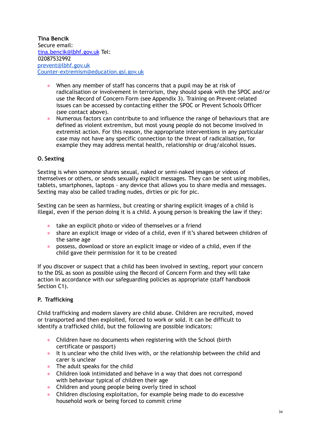**Tina Bencik** Secure email: [tina.bencik@lbhf.gov.uk](mailto:tina.bencik@lbhf.gov.uk) Tel: 02087532992 [prevent@lbhf.gov.uk](mailto:prevent@lbhf.gov.uk) [Counter-extremism@education.gsi.gov.uk](mailto:Counter-extremism@education.gsi.gov.uk)

- When any member of staff has concerns that a pupil may be at risk of radicalisation or involvement in terrorism, they should speak with the SPOC and/or use the Record of Concern Form (see Appendix 3). Training on Prevent-related issues can be accessed by contacting either the SPOC or Prevent Schools Officer (see contact above).
- Numerous factors can contribute to and influence the range of behaviours that are defined as violent extremism, but most young people do not become involved in extremist action. For this reason, the appropriate interventions in any particular case may not have any specific connection to the threat of radicalisation, for example they may address mental health, relationship or drug/alcohol issues.

# **O. Sexting**

Sexting is when someone shares sexual, naked or semi-naked images or videos of themselves or others, or sends sexually explicit messages. They can be sent using mobiles, tablets, smartphones, laptops - any device that allows you to share media and messages. Sexting may also be called trading nudes, dirties or pic for pic.

Sexting can be seen as harmless, but creating or sharing explicit images of a child is illegal, even if the person doing it is a child. A young person is breaking the law if they:

- take an explicit photo or video of themselves or a friend
- share an explicit image or video of a child, even if it's shared between children of the same age
- possess, download or store an explicit image or video of a child, even if the child gave their permission for it to be created

If you discover or suspect that a child has been involved in sexting, report your concern to the DSL as soon as possible using the Record of Concern Form and they will take action in accordance with our safeguarding policies as appropriate (staff handbook Section C1).

# **P. Trafficking**

Child trafficking and modern slavery are child abuse. Children are recruited, moved or transported and then exploited, forced to work or sold. It can be difficult to identify a trafficked child, but the following are possible indicators:

- Children have no documents when registering with the School (birth certificate or passport)
- It is unclear who the child lives with, or the relationship between the child and carer is unclear
- The adult speaks for the child
- Children look intimidated and behave in a way that does not correspond with behaviour typical of children their age
- Children and young people being overly tired in school
- Children disclosing exploitation, for example being made to do excessive household work or being forced to commit crime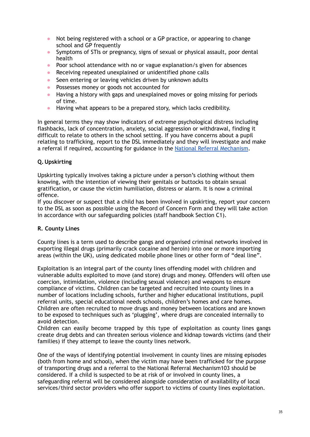- Not being registered with a school or a GP practice, or appearing to change school and GP frequently
- Symptoms of STIs or pregnancy, signs of sexual or physical assault, poor dental health
- Poor school attendance with no or vague explanation/s given for absences
- Receiving repeated unexplained or unidentified phone calls
- Seen entering or leaving vehicles driven by unknown adults
- Possesses money or goods not accounted for
- Having a history with gaps and unexplained moves or going missing for periods of time.
- Having what appears to be a prepared story, which lacks credibility.

In general terms they may show indicators of extreme psychological distress including flashbacks, lack of concentration, anxiety, social aggression or withdrawal, finding it difficult to relate to others in the school setting. If you have concerns about a pupil relating to trafficking, report to the DSL immediately and they will investigate and make a referral if required, accounting for guidance in the National Referral [Mechanism](https://www.gov.uk/government/publications/human-trafficking-victims-referral-and-assessment-forms/guidance-on-the-national-referral-mechanism-for-potential-adult-victims-of-modern-slavery-england-and-wales).

# **Q.Upskirting**

Upskirting typically involves taking a picture under a person's clothing without them knowing, with the intention of viewing their genitals or buttocks to obtain sexual gratification, or cause the victim humiliation, distress or alarm. It is now a criminal offence.

If you discover or suspect that a child has been involved in upskirting, report your concern to the DSL as soon as possible using the Record of Concern Form and they will take action in accordance with our safeguarding policies (staff handbook Section C1).

# **R. County Lines**

County lines is a term used to describe gangs and organised criminal networks involved in exporting illegal drugs (primarily crack cocaine and heroin) into one or more importing areas (within the UK), using dedicated mobile phone lines or other form of "deal line".

Exploitation is an integral part of the county lines offending model with children and vulnerable adults exploited to move (and store) drugs and money. Offenders will often use coercion, intimidation, violence (including sexual violence) and weapons to ensure compliance of victims. Children can be targeted and recruited into county lines in a number of locations including schools, further and higher educational institutions, pupil referral units, special educational needs schools, children's homes and care homes. Children are often recruited to move drugs and money between locations and are known to be exposed to techniques such as 'plugging', where drugs are concealed internally to avoid detection.

Children can easily become trapped by this type of exploitation as county lines gangs create drug debts and can threaten serious violence and kidnap towards victims (and their families) if they attempt to leave the county lines network.

One of the ways of identifying potential involvement in county lines are missing episodes (both from home and school), when the victim may have been trafficked for the purpose of transporting drugs and a referral to the National Referral Mechanism103 should be considered. If a child is suspected to be at risk of or involved in county lines, a safeguarding referral will be considered alongside consideration of availability of local services/third sector providers who offer support to victims of county lines exploitation.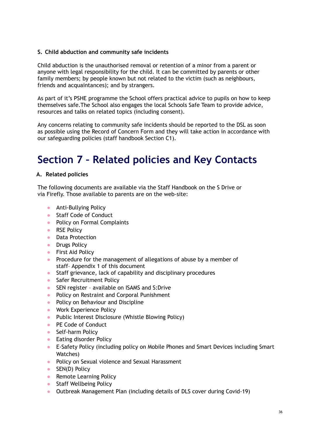## **S. Child abduction and community safe incidents**

Child abduction is the unauthorised removal or retention of a minor from a parent or anyone with legal responsibility for the child. It can be committed by parents or other family members; by people known but not related to the victim (such as neighbours, friends and acquaintances); and by strangers.

As part of it's PSHE programme the School offers practical advice to pupils on how to keep themselves safe.The School also engages the local Schools Safe Team to provide advice, resources and talks on related topics (including consent).

Any concerns relating to community safe incidents should be reported to the DSL as soon as possible using the Record of Concern Form and they will take action in accordance with our safeguarding policies (staff handbook Section C1).

# **Section 7 – Related policies and Key Contacts**

### **A. Related policies**

The following documents are available via the Staff Handbook on the S Drive or via Firefly. Those available to parents are on the web-site:

- Anti-Bullying Policy
- Staff Code of Conduct
- Policy on Formal Complaints
- RSE Policy
- Data Protection
- Drugs Policy
- First Aid Policy
- Procedure for the management of allegations of abuse by a member of staff– Appendix 1 of this document
- Staff grievance, lack of capability and disciplinary procedures
- Safer Recruitment Policy
- SEN register available on ISAMS and S:Drive
- Policy on Restraint and Corporal Punishment
- Policy on Behaviour and Discipline
- Work Experience Policy
- Public Interest Disclosure (Whistle Blowing Policy)
- PE Code of Conduct
- Self-harm Policy
- Eating disorder Policy
- E-Safety Policy (including policy on Mobile Phones and Smart Devices including Smart Watches)
- Policy on Sexual violence and Sexual Harassment
- SEN(D) Policy
- Remote Learning Policy
- Staff Wellbeing Policy
- Outbreak Management Plan (including details of DLS cover during Covid-19)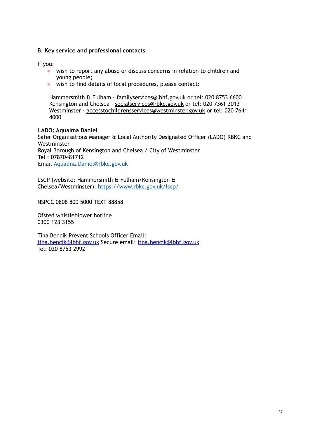#### **B. Key service and professional contacts**

If you:

- wish to report any abuse or discuss concerns in relation to children and young people;
- wish to find details of local procedures, please contact:

Hammersmith & Fulham - [familyservices@lbhf.gov.uk](mailto:familyservices@lbhf.gov.uk) or tel: 020 8753 6600 Kensington and Chelsea - [socialservices@rbkc.gov.uk](mailto:socialservices@rbkc.gov.uk) or tel: 020 7361 3013 Westminster - [accesstochildrensservices@westminster.gov.uk](mailto:accesstochildrensservices@westminster.gov.uk) or tel: 020 7641 4000

#### **LADO: Aqualma Daniel**

Safer Organisations Manager & Local Authority Designated Officer (LADO) RBKC and Westminster Royal Borough of Kensington and Chelsea / City of Westminster Tel : 07870481712 Email Aqualma.Daniel@rbkc.gov.uk

LSCP (website: Hammersmith & Fulham/Kensington & Chelsea/Westminster): <https://www.rbkc.gov.uk/lscp/>

NSPCC 0808 800 5000 TEXT 88858

Ofsted whistleblower hotline 0300 123 3155

Tina Bencik Prevent Schools Officer Email: [tina.bencik@lbhf.gov.uk](mailto:tina.bencik@lbhf.gov.uk) Secure email: [tina.bencik@lbhf.gov.uk](mailto:tina.bencik@lbhf.gov.uk) Tel: 020 8753 2992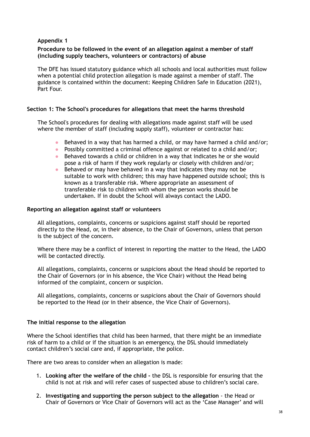#### **Procedure to be followed in the event of an allegation against a member of staff (including supply teachers, volunteers or contractors) of abuse**

The DFE has issued statutory guidance which all schools and local authorities must follow when a potential child protection allegation is made against a member of staff. The guidance is contained within the document: Keeping Children Safe in Education (2021), Part Four.

#### **Section 1: The School's procedures for allegations that meet the harms threshold**

The School's procedures for dealing with allegations made against staff will be used where the member of staff (including supply staff), volunteer or contractor has:

- Behaved in a way that has harmed a child, or may have harmed a child and/or;
- Possibly committed a criminal offence against or related to a child and/or;
- Behaved towards a child or children in a way that indicates he or she would pose a risk of harm if they work regularly or closely with children and/or;
- Behaved or may have behaved in a way that indicates they may not be suitable to work with children; this may have happened outside school; this is known as a transferable risk. Where appropriate an assessment of transferable risk to children with whom the person works should be undertaken. If in doubt the School will always contact the LADO.

#### **Reporting an allegation against staff or volunteers**

All allegations, complaints, concerns or suspicions against staff should be reported directly to the Head, or, in their absence, to the Chair of Governors, unless that person is the subject of the concern.

Where there may be a conflict of interest in reporting the matter to the Head, the LADO will be contacted directly.

All allegations, complaints, concerns or suspicions about the Head should be reported to the Chair of Governors (or in his absence, the Vice Chair) without the Head being informed of the complaint, concern or suspicion.

All allegations, complaints, concerns or suspicions about the Chair of Governors should be reported to the Head (or in their absence, the Vice Chair of Governors).

#### **The initial response to the allegation**

Where the School identifies that child has been harmed, that there might be an immediate risk of harm to a child or if the situation is an emergency, the DSL should immediately contact children's social care and, if appropriate, the police.

There are two areas to consider when an allegation is made:

- 1. **Looking after the welfare of the child -** the DSL is responsible for ensuring that the child is not at risk and will refer cases of suspected abuse to children's social care.
- 2. **Investigating and supporting the person subject to the allegation** the Head or Chair of Governors or Vice Chair of Governors will act as the 'Case Manager' and will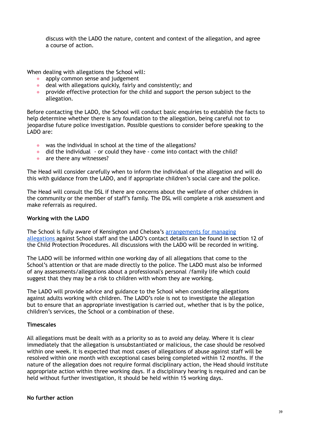discuss with the LADO the nature, content and context of the allegation, and agree a course of action.

When dealing with allegations the School will:

- apply common sense and judgement
- deal with allegations quickly, fairly and consistently; and
- provide effective protection for the child and support the person subject to the allegation.

Before contacting the LADO, the School will conduct basic enquiries to establish the facts to help determine whether there is any foundation to the allegation, being careful not to jeopardise future police investigation. Possible questions to consider before speaking to the LADO are:

- was the individual in school at the time of the allegations?
- did the individual or could they have come into contact with the child?
- are there any witnesses?

The Head will consider carefully when to inform the individual of the allegation and will do this with guidance from the LADO, and if appropriate children's social care and the police.

The Head will consult the DSL if there are concerns about the welfare of other children in the community or the member of staff's family. The DSL will complete a risk assessment and make referrals as required.

#### **Working with the LADO**

The School is fully aware of Kensington and Chelsea's [arrangements](https://www.rbkc.gov.uk/lscp/information-professionals-and-volunteers/lado-managing-allegations) for managing [allegations](https://www.rbkc.gov.uk/lscp/information-professionals-and-volunteers/lado-managing-allegations) against School staff and the LADO's contact details can be found in section 12 of the Child Protection Procedures. All discussions with the LADO will be recorded in writing.

The LADO will be informed within one working day of all allegations that come to the School's attention or that are made directly to the police. The LADO must also be informed of any assessments/allegations about a professional's personal /family life which could suggest that they may be a risk to children with whom they are working.

The LADO will provide advice and guidance to the School when considering allegations against adults working with children. The LADO's role is not to investigate the allegation but to ensure that an appropriate investigation is carried out, whether that is by the police, children's services, the School or a combination of these.

#### **Timescales**

All allegations must be dealt with as a priority so as to avoid any delay. Where it is clear immediately that the allegation is unsubstantiated or malicious, the case should be resolved within one week. It is expected that most cases of allegations of abuse against staff will be resolved within one month with exceptional cases being completed within 12 months. If the nature of the allegation does not require formal disciplinary action, the Head should institute appropriate action within three working days. If a disciplinary hearing is required and can be held without further investigation, it should be held within 15 working days.

#### **No further action**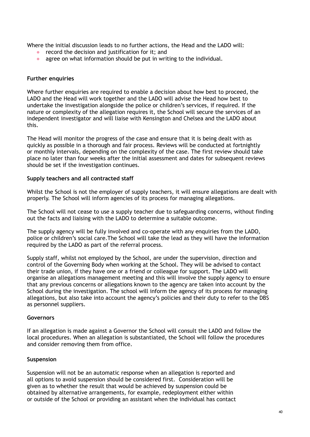Where the initial discussion leads to no further actions, the Head and the LADO will:

- record the decision and justification for it; and
- agree on what information should be put in writing to the individual.

#### **Further enquiries**

Where further enquiries are required to enable a decision about how best to proceed, the LADO and the Head will work together and the LADO will advise the Head how best to undertake the investigation alongside the police or children's services, if required. If the nature or complexity of the allegation requires it, the School will secure the services of an independent investigator and will liaise with Kensington and Chelsea and the LADO about this.

The Head will monitor the progress of the case and ensure that it is being dealt with as quickly as possible in a thorough and fair process. Reviews will be conducted at fortnightly or monthly intervals, depending on the complexity of the case. The first review should take place no later than four weeks after the initial assessment and dates for subsequent reviews should be set if the investigation continues.

#### **Supply teachers and all contracted staff**

Whilst the School is not the employer of supply teachers, it will ensure allegations are dealt with properly. The School will inform agencies of its process for managing allegations.

The School will not cease to use a supply teacher due to safeguarding concerns, without finding out the facts and liaising with the LADO to determine a suitable outcome.

The supply agency will be fully involved and co-operate with any enquiries from the LADO, police or children's social care.The School will take the lead as they will have the information required by the LADO as part of the referral process.

Supply staff, whilst not employed by the School, are under the supervision, direction and control of the Governing Body when working at the School. They will be advised to contact their trade union, if they have one or a friend or colleague for support. The LADO will organise an allegations management meeting and this will involve the supply agency to ensure that any previous concerns or allegations known to the agency are taken into account by the School during the investigation. The school will inform the agency of its process for managing allegations, but also take into account the agency's policies and their duty to refer to the DBS as personnel suppliers.

#### **Governors**

If an allegation is made against a Governor the School will consult the LADO and follow the local procedures. When an allegation is substantiated, the School will follow the procedures and consider removing them from office.

#### **Suspension**

Suspension will not be an automatic response when an allegation is reported and all options to avoid suspension should be considered first. Consideration will be given as to whether the result that would be achieved by suspension could be obtained by alternative arrangements, for example, redeployment either within or outside of the School or providing an assistant when the individual has contact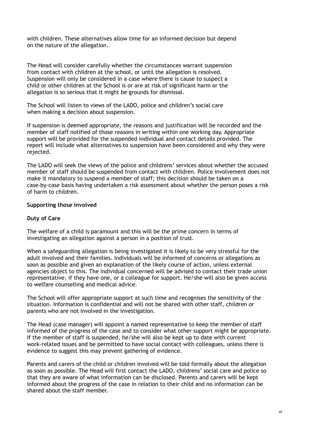with children. These alternatives allow time for an informed decision but depend on the nature of the allegation.

The Head will consider carefully whether the circumstances warrant suspension from contact with children at the school, or until the allegation is resolved. Suspension will only be considered in a case where there is cause to suspect a child or other children at the School is or are at risk of significant harm or the allegation is so serious that it might be grounds for dismissal.

The School will listen to views of the LADO, police and children's social care when making a decision about suspension.

If suspension is deemed appropriate, the reasons and justification will be recorded and the member of staff notified of those reasons in writing within one working day. Appropriate support will be provided for the suspended individual and contact details provided. The report will include what alternatives to suspension have been considered and why they were rejected.

The LADO will seek the views of the police and childrens' services about whether the accused member of staff should be suspended from contact with children. Police involvement does not make it mandatory to suspend a member of staff; this decision should be taken on a case-by-case basis having undertaken a risk assessment about whether the person poses a risk of harm to children.

#### **Supporting those involved**

#### **Duty of Care**

The welfare of a child is paramount and this will be the prime concern in terms of investigating an allegation against a person in a position of trust.

When a safeguarding allegation is being investigated it is likely to be very stressful for the adult involved and their families. Individuals will be informed of concerns or allegations as soon as possible and given an explanation of the likely course of action, unless external agencies object to this. The individual concerned will be advised to contact their trade union representative, if they have one, or a colleague for support. He/she will also be given access to welfare counselling and medical advice.

The School will offer appropriate support at such time and recognises the sensitivity of the situation. Information is confidential and will not be shared with other staff, children or parents who are not involved in the investigation.

The Head (case manager) will appoint a named representative to keep the member of staff informed of the progress of the case and to consider what other support might be appropriate. If the member of staff is suspended, he/she will also be kept up to date with current work-related issues and be permitted to have social contact with colleagues, unless there is evidence to suggest this may prevent gathering of evidence.

Parents and carers of the child or children involved will be told formally about the allegation as soon as possible. The Head will first contact the LADO, childrens' social care and police so that they are aware of what information can be disclosed. Parents and carers will be kept informed about the progress of the case in relation to their child and no information can be shared about the staff member.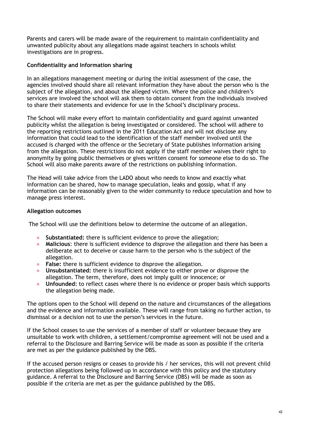Parents and carers will be made aware of the requirement to maintain confidentiality and unwanted publicity about any allegations made against teachers in schools whilst investigations are in progress.

### **Confidentiality and Information sharing**

In an allegations management meeting or during the initial assessment of the case, the agencies involved should share all relevant information they have about the person who is the subject of the allegation, and about the alleged victim. Where the police and children's services are involved the school will ask them to obtain consent from the individuals involved to share their statements and evidence for use in the School's disciplinary process.

The School will make every effort to maintain confidentiality and guard against unwanted publicity whilst the allegation is being investigated or considered. The school will adhere to the reporting restrictions outlined in the 2011 Education Act and will not disclose any information that could lead to the identification of the staff member involved until the accused is charged with the offence or the Secretary of State publishes information arising from the allegation. These restrictions do not apply if the staff member waives their right to anonymity by going public themselves or gives written consent for someone else to do so. The School will also make parents aware of the restrictions on publishing information.

The Head will take advice from the LADO about who needs to know and exactly what information can be shared, how to manage speculation, leaks and gossip, what if any information can be reasonably given to the wider community to reduce speculation and how to manage press interest.

### **Allegation outcomes**

The School will use the definitions below to determine the outcome of an allegation.

- **Substantiated:** there is sufficient evidence to prove the allegation;
- **Malicious**: there is sufficient evidence to disprove the allegation and there has been a deliberate act to deceive or cause harm to the person who is the subject of the allegation.
- **False:** there is sufficient evidence to disprove the allegation.
- **Unsubstantiated:** there is insufficient evidence to either prove or disprove the allegation. The term, therefore, does not imply guilt or innocence; or
- **Unfounded:** to reflect cases where there is no evidence or proper basis which supports the allegation being made.

The options open to the School will depend on the nature and circumstances of the allegations and the evidence and information available. These will range from taking no further action, to dismissal or a decision not to use the person's services in the future.

If the School ceases to use the services of a member of staff or volunteer because they are unsuitable to work with children, a settlement/compromise agreement will not be used and a referral to the Disclosure and Barring Service will be made as soon as possible if the criteria are met as per the guidance published by the DBS.

If the accused person resigns or ceases to provide his / her services, this will not prevent child protection allegations being followed up in accordance with this policy and the statutory guidance. A referral to the Disclosure and Barring Service (DBS) will be made as soon as possible if the criteria are met as per the guidance published by the DBS.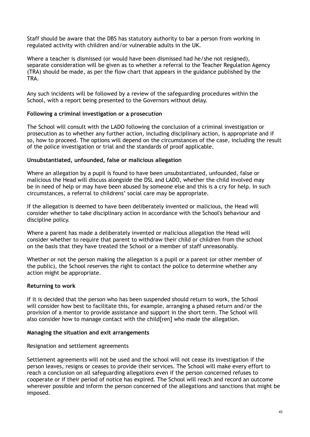Staff should be aware that the DBS has statutory authority to bar a person from working in regulated activity with children and/or vulnerable adults in the UK.

Where a teacher is dismissed (or would have been dismissed had he/she not resigned), separate consideration will be given as to whether a referral to the Teacher Regulation Agency (TRA) should be made, as per the flow chart that appears in the guidance published by the TRA.

Any such incidents will be followed by a review of the safeguarding procedures within the School, with a report being presented to the Governors without delay.

#### **Following a criminal investigation or a prosecution**

The School will consult with the LADO following the conclusion of a criminal investigation or prosecution as to whether any further action, including disciplinary action, is appropriate and if so, how to proceed. The options will depend on the circumstances of the case, including the result of the police investigation or trial and the standards of proof applicable.

#### **Unsubstantiated, unfounded, false or malicious allegation**

Where an allegation by a pupil is found to have been unsubstantiated, unfounded, false or malicious the Head will discuss alongside the DSL and LADO, whether the child involved may be in need of help or may have been abused by someone else and this is a cry for help. In such circumstances, a referral to childrens' social care may be appropriate.

If the allegation is deemed to have been deliberately invented or malicious, the Head will consider whether to take disciplinary action in accordance with the School's behaviour and discipline policy.

Where a parent has made a deliberately invented or malicious allegation the Head will consider whether to require that parent to withdraw their child or children from the school on the basis that they have treated the School or a member of staff unreasonably.

Whether or not the person making the allegation is a pupil or a parent (or other member of the public), the School reserves the right to contact the police to determine whether any action might be appropriate.

#### **Returning to work**

If it is decided that the person who has been suspended should return to work, the School will consider how best to facilitate this, for example, arranging a phased return and/or the provision of a mentor to provide assistance and support in the short term. The School will also consider how to manage contact with the child[ren] who made the allegation.

#### **Managing the situation and exit arrangements**

#### Resignation and settlement agreements

Settlement agreements will not be used and the school will not cease its investigation if the person leaves, resigns or ceases to provide their services. The School will make every effort to reach a conclusion on all safeguarding allegations even if the person concerned refuses to cooperate or if their period of notice has expired. The School will reach and record an outcome wherever possible and inform the person concerned of the allegations and sanctions that might be imposed.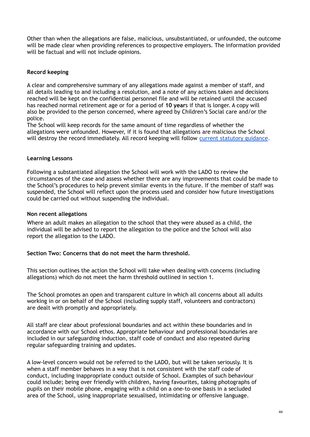Other than when the allegations are false, malicious, unsubstantiated, or unfounded, the outcome will be made clear when providing references to prospective employers. The information provided will be factual and will not include opinions.

# **Record keeping**

A clear and comprehensive summary of any allegations made against a member of staff, and all details leading to and including a resolution, and a note of any actions taken and decisions reached will be kept on the confidential personnel file and will be retained until the accused has reached normal retirement age or for a period of **10 year**s if that is longer. A copy will also be provided to the person concerned, where agreed by Children's Social care and/or the police.

The School will keep records for the same amount of time regardless of whether the allegations were unfounded. However, if it is found that allegations are malicious the School will destroy the record immediately. All record keeping will follow current [statutory](https://learning.nspcc.org.uk/media/1442/child-protection-records-retention-and-storage-guidelines.pdf) guidance.

#### **Learning Lessons**

Following a substantiated allegation the School will work with the LADO to review the circumstances of the case and assess whether there are any improvements that could be made to the School's procedures to help prevent similar events in the future. If the member of staff was suspended, the School will reflect upon the process used and consider how future investigations could be carried out without suspending the individual.

#### **Non recent allegations**

Where an adult makes an allegation to the school that they were abused as a child, the individual will be advised to report the allegation to the police and the School will also report the allegation to the LADO.

#### **Section Two: Concerns that do not meet the harm threshold.**

This section outlines the action the School will take when dealing with concerns (including allegations) which do not meet the harm threshold outlined in section 1.

The School promotes an open and transparent culture in which all concerns about all adults working in or on behalf of the School (including supply staff, volunteers and contractors) are dealt with promptly and appropriately.

All staff are clear about professional boundaries and act within these boundaries and in accordance with our School ethos. Appropriate behaviour and professional boundaries are included in our safeguarding induction, staff code of conduct and also repeated during regular safeguarding training and updates.

A low-level concern would not be referred to the LADO, but will be taken seriously. It is when a staff member behaves in a way that is not consistent with the staff code of conduct, including inappropriate conduct outside of School. Examples of such behaviour could include; being over friendly with children, having favourites, taking photographs of pupils on their mobile phone, engaging with a child on a one-to-one basis in a secluded area of the School, using inappropriate sexualised, intimidating or offensive language.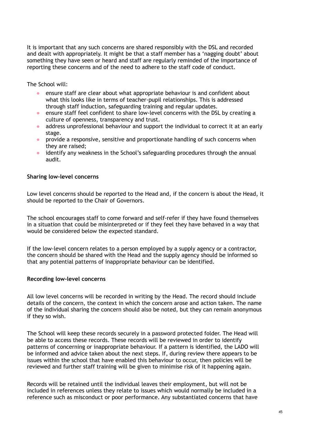It is important that any such concerns are shared responsibly with the DSL and recorded and dealt with appropriately. It might be that a staff member has a 'nagging doubt' about something they have seen or heard and staff are regularly reminded of the importance of reporting these concerns and of the need to adhere to the staff code of conduct.

The School will:

- ensure staff are clear about what appropriate behaviour is and confident about what this looks like in terms of teacher-pupil relationships. This is addressed through staff induction, safeguarding training and regular updates.
- ensure staff feel confident to share low-level concerns with the DSL by creating a culture of openness, transparency and trust.
- address unprofessional behaviour and support the individual to correct it at an early stage.
- provide a responsive, sensitive and proportionate handling of such concerns when they are raised;
- identify any weakness in the School's safeguarding procedures through the annual audit.

#### **Sharing low-level concerns**

Low level concerns should be reported to the Head and, if the concern is about the Head, it should be reported to the Chair of Governors.

The school encourages staff to come forward and self-refer if they have found themselves in a situation that could be misinterpreted or if they feel they have behaved in a way that would be considered below the expected standard.

If the low-level concern relates to a person employed by a supply agency or a contractor, the concern should be shared with the Head and the supply agency should be informed so that any potential patterns of inappropriate behaviour can be identified.

#### **Recording low-level concerns**

All low level concerns will be recorded in writing by the Head. The record should include details of the concern, the context in which the concern arose and action taken. The name of the individual sharing the concern should also be noted, but they can remain anonymous if they so wish.

The School will keep these records securely in a password protected folder. The Head will be able to access these records. These records will be reviewed in order to identify patterns of concerning or inappropriate behaviour. If a pattern is identified, the LADO will be informed and advice taken about the next steps. If, during review there appears to be issues within the school that have enabled this behaviour to occur, then policies will be reviewed and further staff training will be given to minimise risk of it happening again.

Records will be retained until the individual leaves their employment, but will not be included in references unless they relate to issues which would normally be included in a reference such as misconduct or poor performance. Any substantiated concerns that have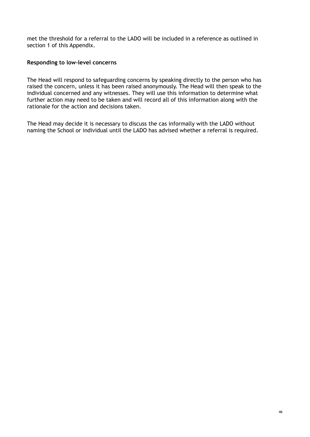met the threshold for a referral to the LADO will be included in a reference as outlined in section 1 of this Appendix.

### **Responding to low-level concerns**

The Head will respond to safeguarding concerns by speaking directly to the person who has raised the concern, unless it has been raised anonymously. The Head will then speak to the individual concerned and any witnesses. They will use this information to determine what further action may need to be taken and will record all of this information along with the rationale for the action and decisions taken.

The Head may decide it is necessary to discuss the cas informally with the LADO without naming the School or individual until the LADO has advised whether a referral is required.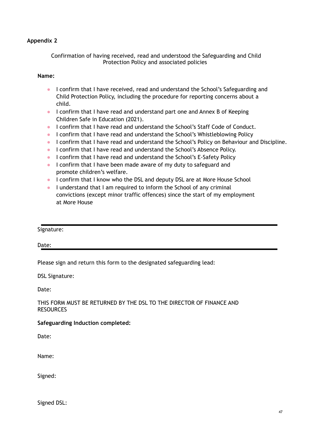Confirmation of having received, read and understood the Safeguarding and Child Protection Policy and associated policies

#### **Name:**

- I confirm that I have received, read and understand the School's Safeguarding and Child Protection Policy, including the procedure for reporting concerns about a child.
- I confirm that I have read and understand part one and Annex B of Keeping Children Safe in Education (2021).
- I confirm that I have read and understand the School's Staff Code of Conduct.
- I confirm that I have read and understand the School's Whistleblowing Policy
- I confirm that I have read and understand the School's Policy on Behaviour and Discipline.
- I confirm that I have read and understand the School's Absence Policy.
- I confirm that I have read and understand the School's E-Safety Policy
- I confirm that I have been made aware of my duty to safeguard and promote children's welfare.
- I confirm that I know who the DSL and deputy DSL are at More House School
- I understand that I am required to inform the School of any criminal convictions (except minor traffic offences) since the start of my employment at More House

#### Signature:

#### Date:

Please sign and return this form to the designated safeguarding lead:

DSL Signature:

Date:

#### THIS FORM MUST BE RETURNED BY THE DSL TO THE DIRECTOR OF FINANCE AND RESOURCES

#### **Safeguarding Induction completed:**

Date:

Name:

Signed:

Signed DSL: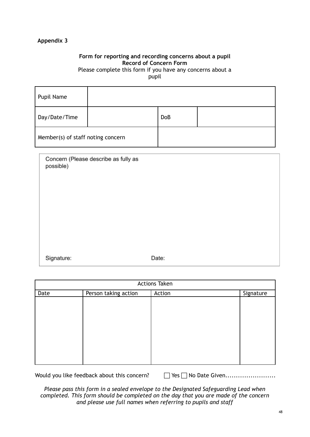# **Form for reporting and recording concerns about a pupil Record of Concern Form**

Please complete this form if you have any concerns about a pupil

| Pupil Name                        |            |  |
|-----------------------------------|------------|--|
| Day/Date/Time                     | <b>DoB</b> |  |
| Member(s) of staff noting concern |            |  |

| Concern (Please describe as fully as<br>possible) |       |
|---------------------------------------------------|-------|
| Signature:                                        | Date: |

| <b>Actions Taken</b> |                      |        |           |
|----------------------|----------------------|--------|-----------|
| Date                 | Person taking action | Action | Signature |
|                      |                      |        |           |
|                      |                      |        |           |
|                      |                      |        |           |
|                      |                      |        |           |
|                      |                      |        |           |
|                      |                      |        |           |
|                      |                      |        |           |
|                      |                      |        |           |
|                      |                      |        |           |
|                      |                      |        |           |

Would you like feedback about this concern? Yes No Date Given........................

*Please pass this form in a sealed envelope to the Designated Safeguarding Lead when completed. This form should be completed on the day that you are made of the concern and please use full names when referring to pupils and staff*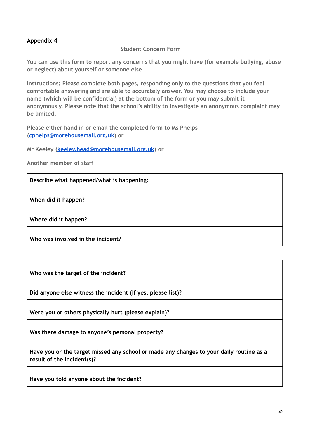# **Student Concern Form**

**You can use this form to report any concerns that you might have (for example bullying, abuse or neglect) about yourself or someone else**

**Instructions: Please complete both pages, responding only to the questions that you feel comfortable answering and are able to accurately answer. You may choose to include your name (which will be confidential) at the bottom of the form or you may submit it anonymously. Please note that the school's ability to investigate an anonymous complaint may be limited.**

**Please either hand in or email the completed form to Ms Phelps [\(cphelps@morehousemail.org.uk\)](mailto:cphelps@morehousemail.co.uk) or**

**Mr Keeley [\(keeley.head@morehousemail.org.uk\)](mailto:keeley.head@morehousemail.org.uk) or**

**Another member of staff**

**Describe what happened/what is happening:**

**When did it happen?**

**Where did it happen?**

**Who was involved in the incident?**

**Who was the target of the incident?**

**Did anyone else witness the incident (if yes, please list)?**

**Were you or others physically hurt (please explain)?**

**Was there damage to anyone's personal property?**

**Have you or the target missed any school or made any changes to your daily routine as a result of the incident(s)?**

**Have you told anyone about the incident?**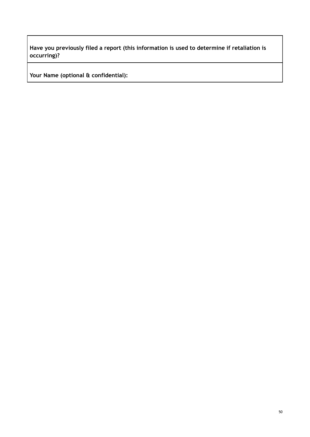**Have you previously filed a report (this information is used to determine if retaliation is occurring)?**

**Your Name (optional & confidential):**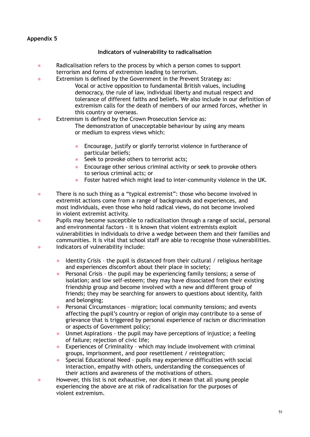#### **Indicators of vulnerability to radicalisation**

- Radicalisation refers to the process by which a person comes to support terrorism and forms of extremism leading to terrorism.
- Extremism is defined by the Government in the Prevent Strategy as:
	- Vocal or active opposition to fundamental British values, including democracy, the rule of law, individual liberty and mutual respect and tolerance of different faiths and beliefs. We also include in our definition of extremism calls for the death of members of our armed forces, whether in this country or overseas.
- Extremism is defined by the Crown Prosecution Service as:
	- The demonstration of unacceptable behaviour by using any means or medium to express views which:
	- Encourage, justify or glorify terrorist violence in furtherance of particular beliefs;
	- Seek to provoke others to terrorist acts;
	- Encourage other serious criminal activity or seek to provoke others to serious criminal acts; or
	- Foster hatred which might lead to inter-community violence in the UK.
- There is no such thing as a "typical extremist": those who become involved in extremist actions come from a range of backgrounds and experiences, and most individuals, even those who hold radical views, do not become involved in violent extremist activity.
- Pupils may become susceptible to radicalisation through a range of social, personal and environmental factors - it is known that violent extremists exploit vulnerabilities in individuals to drive a wedge between them and their families and communities. It is vital that school staff are able to recognise those vulnerabilities.
- Indicators of vulnerability include:
	- Identity Crisis the pupil is distanced from their cultural / religious heritage and experiences discomfort about their place in society;
	- Personal Crisis the pupil may be experiencing family tensions; a sense of isolation; and low self-esteem; they may have dissociated from their existing friendship group and become involved with a new and different group of friends; they may be searching for answers to questions about identity, faith and belonging;
	- Personal Circumstances migration; local community tensions; and events affecting the pupil's country or region of origin may contribute to a sense of grievance that is triggered by personal experience of racism or discrimination or aspects of Government policy;
	- Unmet Aspirations the pupil may have perceptions of injustice; a feeling of failure; rejection of civic life;
	- Experiences of Criminality which may include involvement with criminal groups, imprisonment, and poor resettlement / reintegration;
	- Special Educational Need pupils may experience difficulties with social interaction, empathy with others, understanding the consequences of their actions and awareness of the motivations of others.
- However, this list is not exhaustive, nor does it mean that all young people experiencing the above are at risk of radicalisation for the purposes of violent extremism.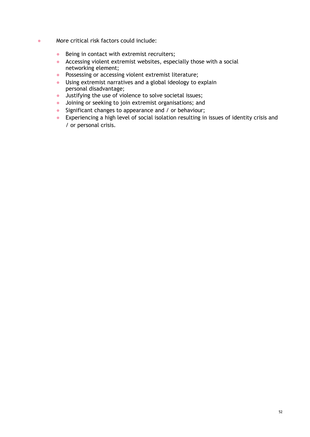- More critical risk factors could include:
	- Being in contact with extremist recruiters;
	- Accessing violent extremist websites, especially those with a social networking element;
	- Possessing or accessing violent extremist literature;
	- Using extremist narratives and a global ideology to explain personal disadvantage;
	- Justifying the use of violence to solve societal issues;
	- Joining or seeking to join extremist organisations; and
	- Significant changes to appearance and / or behaviour;
	- Experiencing a high level of social isolation resulting in issues of identity crisis and / or personal crisis.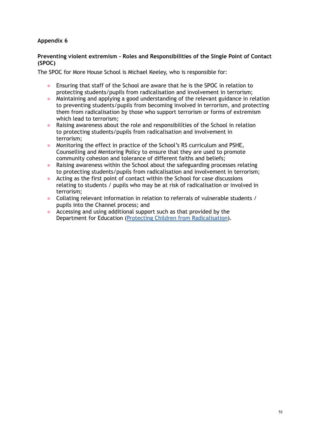#### **Preventing violent extremism - Roles and Responsibilities of the Single Point of Contact (SPOC)**

The SPOC for More House School is Michael Keeley, who is responsible for:

- Ensuring that staff of the School are aware that he is the SPOC in relation to protecting students/pupils from radicalisation and involvement in terrorism;
- Maintaining and applying a good understanding of the relevant guidance in relation to preventing students/pupils from becoming involved in terrorism, and protecting them from radicalisation by those who support terrorism or forms of extremism which lead to terrorism;
- Raising awareness about the role and responsibilities of the School in relation to protecting students/pupils from radicalisation and involvement in terrorism;
- Monitoring the effect in practice of the School's RS curriculum and PSHE, Counselling and Mentoring Policy to ensure that they are used to promote community cohesion and tolerance of different faiths and beliefs;
- Raising awareness within the School about the safeguarding processes relating to protecting students/pupils from radicalisation and involvement in terrorism;
- Acting as the first point of contact within the School for case discussions relating to students / pupils who may be at risk of radicalisation or involved in terrorism;
- Collating relevant information in relation to referrals of vulnerable students / pupils into the Channel process; and
- Accessing and using additional support such as that provided by the Department for Education (Protecting Children from [Radicalisation\)](https://www.gov.uk/government/publications/protecting-children-from-radicalisation-the-prevent-duty).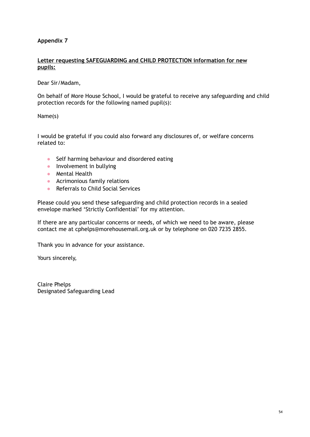#### **Letter requesting SAFEGUARDING and CHILD PROTECTION information for new pupils:**

Dear Sir/Madam,

On behalf of More House School, I would be grateful to receive any safeguarding and child protection records for the following named pupil(s):

Name(s)

I would be grateful if you could also forward any disclosures of, or welfare concerns related to:

- Self harming behaviour and disordered eating
- **•** Involvement in bullying
- Mental Health
- Acrimonious family relations
- Referrals to Child Social Services

Please could you send these safeguarding and child protection records in a sealed envelope marked 'Strictly Confidential' for my attention.

If there are any particular concerns or needs, of which we need to be aware, please contact me at cphelps@morehousemail.org.uk or by telephone on 020 7235 2855.

Thank you in advance for your assistance.

Yours sincerely,

Claire Phelps Designated Safeguarding Lead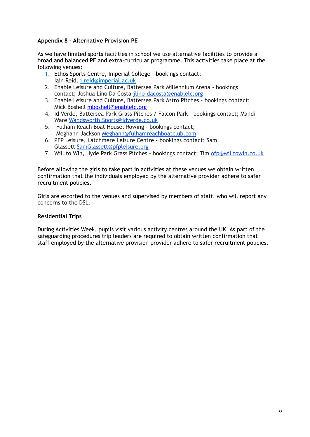# **Appendix 8 – Alternative Provision PE**

As we have limited sports facilities in school we use alternative facilities to provide a broad and balanced PE and extra-curricular programme. This activities take place at the following venues:

- 1. Ethos Sports Centre, Imperial College bookings contact; Iain Reid. [i.reid@imperial.ac.uk](mailto:i.reid@imperial.ac.uk)
- 2. Enable Leisure and Culture, Battersea Park Millennium Arena bookings contact; Joshua Lino Da Costa [jlino-dacosta@enablelc.org](mailto:jlino-dacosta@enablelc.org)
- 3. Enable Leisure and Culture, Battersea Park Astro Pitches bookings contact; Mick Boshell [mboshell@enablelc.org](mailto:mboshell@enablelc.org)
- 4. Id Verde, Battersea Park Grass Pitches / Falcon Park bookings contact; Mandi Ware [Wandsworth.Sports@idverde.co.uk](mailto:Wandsworth.Sports@idverde.co.uk)
- 5. Fulham Reach Boat House, Rowing bookings contact; Meghann Jackson [Meghann@fulhamreachboatclub.com](mailto:Meghann@fulhamreachboatclub.com)
- 6. PFP Leisure, Latchmere Leisure Centre bookings contact; Sam Glassett [SamGlassett@pfpleisure.org](mailto:SamGlassett@pfpleisure.org)
- 7. Will to Win, Hyde Park Grass Pitches bookings contact; Tim [ofp@willtowin.co.uk](mailto:ofp@willtowin.co.uk)

Before allowing the girls to take part in activities at these venues we obtain written confirmation that the individuals employed by the alternative provider adhere to safer recruitment policies.

Girls are escorted to the venues and supervised by members of staff, who will report any concerns to the DSL.

#### **Residential Trips**

During Activities Week, pupils visit various activity centres around the UK. As part of the safeguarding procedures trip leaders are required to obtain written confirmation that staff employed by the alternative provision provider adhere to safer recruitment policies.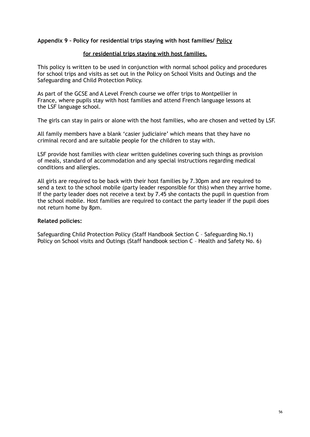#### **Appendix 9 – Policy for residential trips staying with host families/ Policy**

#### **for residential trips staying with host families.**

This policy is written to be used in conjunction with normal school policy and procedures for school trips and visits as set out in the Policy on School Visits and Outings and the Safeguarding and Child Protection Policy.

As part of the GCSE and A Level French course we offer trips to Montpellier in France, where pupils stay with host families and attend French language lessons at the LSF language school.

The girls can stay in pairs or alone with the host families, who are chosen and vetted by LSF.

All family members have a blank 'casier judiciaire' which means that they have no criminal record and are suitable people for the children to stay with.

LSF provide host families with clear written guidelines covering such things as provision of meals, standard of accommodation and any special instructions regarding medical conditions and allergies.

All girls are required to be back with their host families by 7.30pm and are required to send a text to the school mobile (party leader responsible for this) when they arrive home. If the party leader does not receive a text by 7.45 she contacts the pupil in question from the school mobile. Host families are required to contact the party leader if the pupil does not return home by 8pm.

#### **Related policies:**

Safeguarding Child Protection Policy (Staff Handbook Section C – Safeguarding No.1) Policy on School visits and Outings (Staff handbook section C - Health and Safety No. 6)